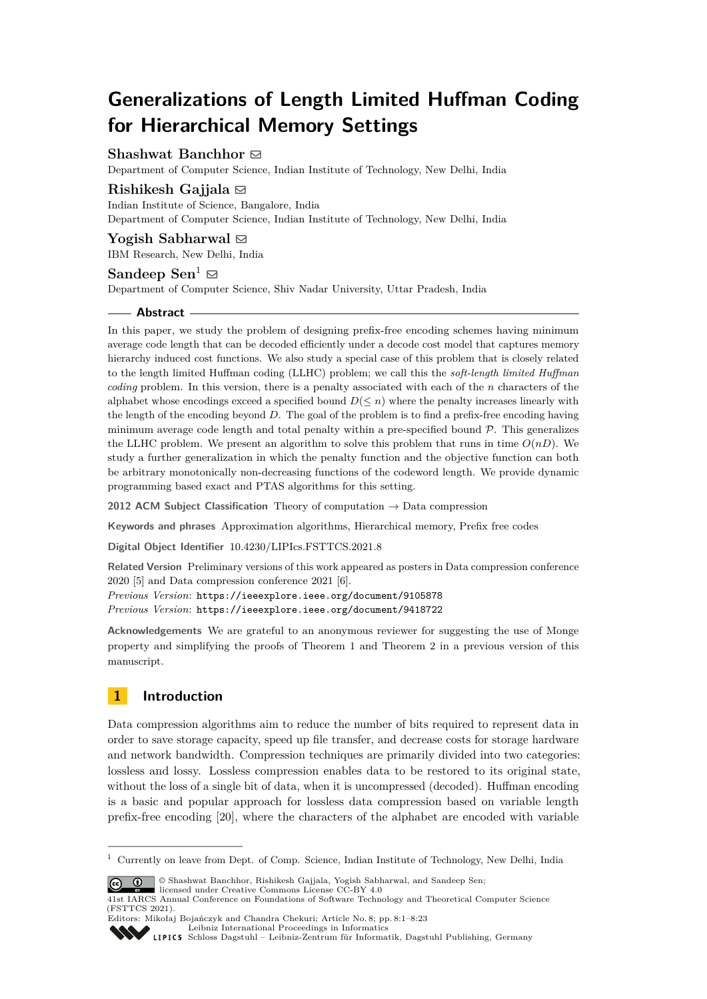# **Generalizations of Length Limited Huffman Coding for Hierarchical Memory Settings**

## **Shashwat Banchhor** ⊠

Department of Computer Science, Indian Institute of Technology, New Delhi, India

# **Rishikesh Gajjala** [#](mailto:rishikeshg@iisc.ac.in)

Indian Institute of Science, Bangalore, India

Department of Computer Science, Indian Institute of Technology, New Delhi, India

## **Yogish Sabharwal** ⊠

IBM Research, New Delhi, India

## **Sandeep Sen<sup>1</sup>**  $\boxtimes$

Department of Computer Science, Shiv Nadar University, Uttar Pradesh, India

#### **Abstract**

In this paper, we study the problem of designing prefix-free encoding schemes having minimum average code length that can be decoded efficiently under a decode cost model that captures memory hierarchy induced cost functions. We also study a special case of this problem that is closely related to the length limited Huffman coding (LLHC) problem; we call this the *soft-length limited Huffman coding* problem. In this version, there is a penalty associated with each of the *n* characters of the alphabet whose encodings exceed a specified bound  $D(\leq n)$  where the penalty increases linearly with the length of the encoding beyond *D*. The goal of the problem is to find a prefix-free encoding having minimum average code length and total penalty within a pre-specified bound  $P$ . This generalizes the LLHC problem. We present an algorithm to solve this problem that runs in time  $O(nD)$ . We study a further generalization in which the penalty function and the objective function can both be arbitrary monotonically non-decreasing functions of the codeword length. We provide dynamic programming based exact and PTAS algorithms for this setting.

**2012 ACM Subject Classification** Theory of computation → Data compression

**Keywords and phrases** Approximation algorithms, Hierarchical memory, Prefix free codes

**Digital Object Identifier** [10.4230/LIPIcs.FSTTCS.2021.8](https://doi.org/10.4230/LIPIcs.FSTTCS.2021.8)

**Related Version** Preliminary versions of this work appeared as posters in Data compression conference 2020 [\[5\]](#page-16-0) and Data compression conference 2021 [\[6\]](#page-16-1).

*Previous Version*: <https://ieeexplore.ieee.org/document/9105878> *Previous Version*: <https://ieeexplore.ieee.org/document/9418722>

**Acknowledgements** We are grateful to an anonymous reviewer for suggesting the use of Monge property and simplifying the proofs of Theorem [1](#page-2-0) and Theorem [2](#page-3-0) in a previous version of this manuscript.

# **1 Introduction**

Data compression algorithms aim to reduce the number of bits required to represent data in order to save storage capacity, speed up file transfer, and decrease costs for storage hardware and network bandwidth. Compression techniques are primarily divided into two categories: lossless and lossy. Lossless compression enables data to be restored to its original state, without the loss of a single bit of data, when it is uncompressed (decoded). Huffman encoding is a basic and popular approach for lossless data compression based on variable length prefix-free encoding [\[20\]](#page-16-2), where the characters of the alphabet are encoded with variable

 $\circ$   $\circ$ 

© Shashwat Banchhor, Rishikesh Gajjala, Yogish Sabharwal, and Sandeep Sen; licensed under Creative Commons License CC-BY 4.0

Editors: Mikołaj Bojańczyk and Chandra Chekuri; Article No. 8; pp. 8:1–8:23 [Leibniz International Proceedings in Informatics](https://www.dagstuhl.de/lipics/) **SSV** 

[Schloss Dagstuhl – Leibniz-Zentrum für Informatik, Dagstuhl Publishing, Germany](https://www.dagstuhl.de)

<sup>&</sup>lt;sup>1</sup> Currently on leave from Dept. of Comp. Science, Indian Institute of Technology, New Delhi, India

<sup>41</sup>st IARCS Annual Conference on Foundations of Software Technology and Theoretical Computer Science (FSTTCS 2021).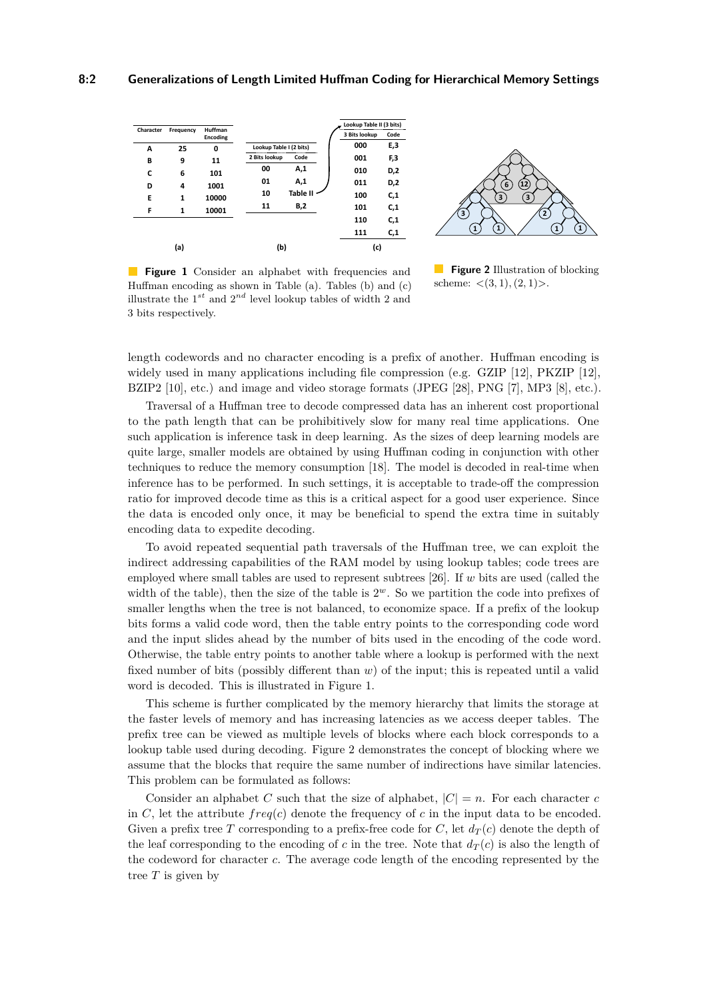<span id="page-1-0"></span>



**Figure 1** Consider an alphabet with frequencies and Huffman encoding as shown in Table (a). Tables (b) and (c) illustrate the  $1^{st}$  and  $2^{nd}$  level lookup tables of width 2 and 3 bits respectively.

**Figure 2** Illustration of blocking scheme: *<*(3*,* 1)*,*(2*,* 1)*>*.

length codewords and no character encoding is a prefix of another. Huffman encoding is widely used in many applications including file compression (e.g. GZIP [\[12\]](#page-16-3), PKZIP [12], BZIP2 [\[10\]](#page-16-4), etc.) and image and video storage formats (JPEG [\[28\]](#page-17-0), PNG [\[7\]](#page-16-5), MP3 [\[8\]](#page-16-6), etc.).

Traversal of a Huffman tree to decode compressed data has an inherent cost proportional to the path length that can be prohibitively slow for many real time applications. One such application is inference task in deep learning. As the sizes of deep learning models are quite large, smaller models are obtained by using Huffman coding in conjunction with other techniques to reduce the memory consumption [\[18\]](#page-16-7). The model is decoded in real-time when inference has to be performed. In such settings, it is acceptable to trade-off the compression ratio for improved decode time as this is a critical aspect for a good user experience. Since the data is encoded only once, it may be beneficial to spend the extra time in suitably encoding data to expedite decoding.

To avoid repeated sequential path traversals of the Huffman tree, we can exploit the indirect addressing capabilities of the RAM model by using lookup tables; code trees are employed where small tables are used to represent subtrees [\[26\]](#page-17-1). If *w* bits are used (called the width of the table), then the size of the table is  $2^w$ . So we partition the code into prefixes of smaller lengths when the tree is not balanced, to economize space. If a prefix of the lookup bits forms a valid code word, then the table entry points to the corresponding code word and the input slides ahead by the number of bits used in the encoding of the code word. Otherwise, the table entry points to another table where a lookup is performed with the next fixed number of bits (possibly different than *w*) of the input; this is repeated until a valid word is decoded. This is illustrated in Figure [1.](#page-1-0)

This scheme is further complicated by the memory hierarchy that limits the storage at the faster levels of memory and has increasing latencies as we access deeper tables. The prefix tree can be viewed as multiple levels of blocks where each block corresponds to a lookup table used during decoding. Figure [2](#page-1-0) demonstrates the concept of blocking where we assume that the blocks that require the same number of indirections have similar latencies. This problem can be formulated as follows:

<span id="page-1-1"></span>Consider an alphabet *C* such that the size of alphabet,  $|C| = n$ . For each character *c* in *C*, let the attribute  $freq(c)$  denote the frequency of *c* in the input data to be encoded. Given a prefix tree *T* corresponding to a prefix-free code for *C*, let  $d_T(c)$  denote the depth of the leaf corresponding to the encoding of *c* in the tree. Note that  $d_T(c)$  is also the length of the codeword for character *c*. The average code length of the encoding represented by the tree *T* is given by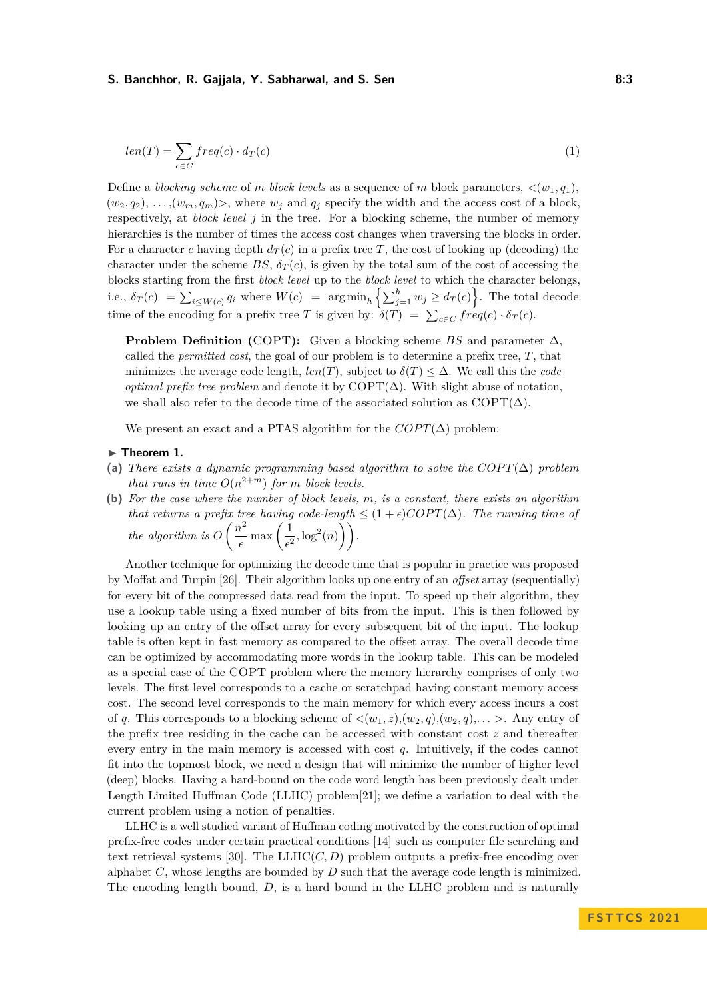#### **S. Banchhor, R. Gajjala, Y. Sabharwal, and S. Sen 8:3 8:3**

$$
len(T) = \sum_{c \in C} freq(c) \cdot d_T(c) \tag{1}
$$

Define a *blocking scheme* of *m block levels* as a sequence of *m* block parameters,  $\langle (w_1, q_1) \rangle$  $(w_2, q_2), \ldots, (w_m, q_m)$ , where  $w_i$  and  $q_i$  specify the width and the access cost of a block, respectively, at *block level j* in the tree. For a blocking scheme, the number of memory hierarchies is the number of times the access cost changes when traversing the blocks in order. For a character *c* having depth  $d_T(c)$  in a prefix tree *T*, the cost of looking up (decoding) the character under the scheme  $BS, \delta_T(c)$ , is given by the total sum of the cost of accessing the blocks starting from the first *block level* up to the *block level* to which the character belongs, i.e.,  $\delta_T(c) = \sum_{i \le W(c)} q_i$  where  $W(c) = \arg \min_h \left\{ \sum_{j=1}^h w_j \ge d_T(c) \right\}$ . The total decode time of the encoding for a prefix tree *T* is given by:  $\delta(T) = \sum_{c \in C} freq(c) \cdot \delta_T(c)$ .

**Problem Definition (**COPT**):** Given a blocking scheme *BS* and parameter ∆, called the *permitted cost*, the goal of our problem is to determine a prefix tree, *T*, that minimizes the average code length,  $len(T)$ , subject to  $\delta(T) \leq \Delta$ . We call this the *code optimal prefix tree problem* and denote it by  $\text{COPT}(\Delta)$ . With slight abuse of notation, we shall also refer to the decode time of the associated solution as  $\text{COPT}(\Delta)$ .

We present an exact and a PTAS algorithm for the  $COPT(\Delta)$  problem:

#### <span id="page-2-0"></span>▶ **Theorem 1.**

- <span id="page-2-1"></span>(a) *There exists a dynamic programming based algorithm to solve the*  $COPT(\Delta)$  *problem that runs in time*  $O(n^{2+m})$  *for m block levels.*
- **(b)** *For the case where the number of block levels, m, is a constant, there exists an algorithm that returns a prefix tree having code-length*  $\leq (1+\epsilon)COPT(\Delta)$ *. The running time of the algorithm is*  $O\left(\frac{n^2}{n}\right)$  $\frac{v^2}{\epsilon}$  max  $\left(\frac{1}{\epsilon^2}\right)$  $\frac{1}{\epsilon^2}, \log^2(n)$ ).

Another technique for optimizing the decode time that is popular in practice was proposed by Moffat and Turpin [\[26\]](#page-17-1). Their algorithm looks up one entry of an *offset* array (sequentially) for every bit of the compressed data read from the input. To speed up their algorithm, they use a lookup table using a fixed number of bits from the input. This is then followed by looking up an entry of the offset array for every subsequent bit of the input. The lookup table is often kept in fast memory as compared to the offset array. The overall decode time can be optimized by accommodating more words in the lookup table. This can be modeled as a special case of the COPT problem where the memory hierarchy comprises of only two levels. The first level corresponds to a cache or scratchpad having constant memory access cost. The second level corresponds to the main memory for which every access incurs a cost of q. This corresponds to a blocking scheme of  $\langle (w_1, z), (w_2, q), (w_2, q), \ldots \rangle$ . Any entry of the prefix tree residing in the cache can be accessed with constant cost *z* and thereafter every entry in the main memory is accessed with cost *q*. Intuitively, if the codes cannot fit into the topmost block, we need a design that will minimize the number of higher level (deep) blocks. Having a hard-bound on the code word length has been previously dealt under Length Limited Huffman Code (LLHC) problem[\[21\]](#page-16-8); we define a variation to deal with the current problem using a notion of penalties.

LLHC is a well studied variant of Huffman coding motivated by the construction of optimal prefix-free codes under certain practical conditions [\[14\]](#page-16-9) such as computer file searching and text retrieval systems [\[30\]](#page-17-2). The  $LLHC(C, D)$  problem outputs a prefix-free encoding over alphabet *C*, whose lengths are bounded by *D* such that the average code length is minimized. The encoding length bound, *D*, is a hard bound in the LLHC problem and is naturally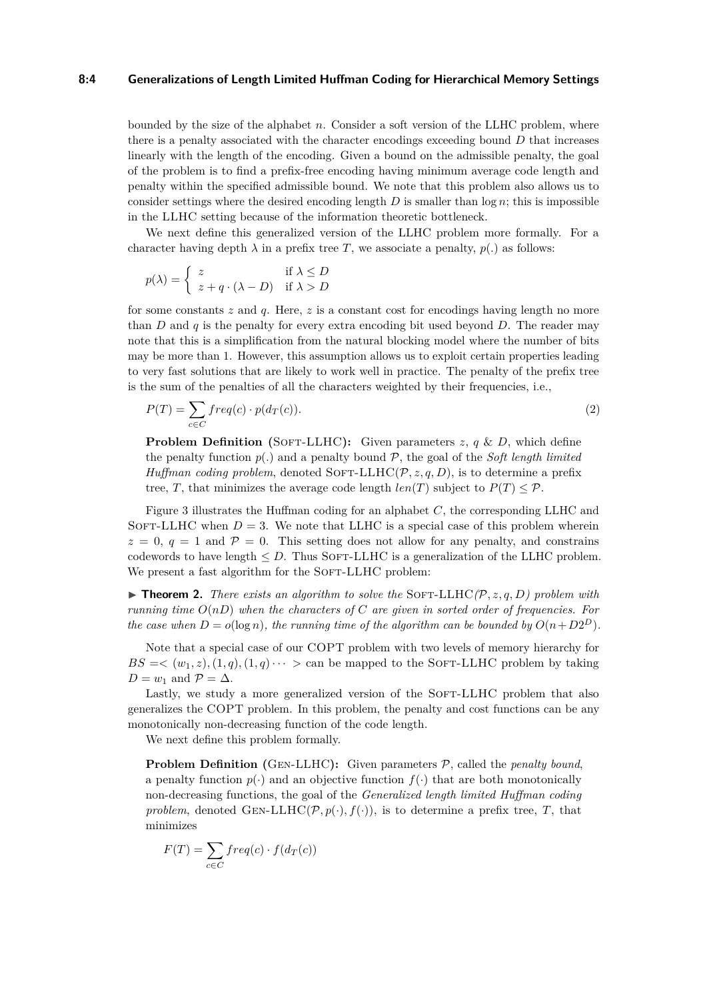#### **8:4 Generalizations of Length Limited Huffman Coding for Hierarchical Memory Settings**

bounded by the size of the alphabet *n*. Consider a soft version of the LLHC problem, where there is a penalty associated with the character encodings exceeding bound *D* that increases linearly with the length of the encoding. Given a bound on the admissible penalty, the goal of the problem is to find a prefix-free encoding having minimum average code length and penalty within the specified admissible bound. We note that this problem also allows us to consider settings where the desired encoding length *D* is smaller than log *n*; this is impossible in the LLHC setting because of the information theoretic bottleneck.

We next define this generalized version of the LLHC problem more formally. For a character having depth  $\lambda$  in a prefix tree *T*, we associate a penalty,  $p(.)$  as follows:

$$
p(\lambda) = \begin{cases} z & \text{if } \lambda \le D \\ z + q \cdot (\lambda - D) & \text{if } \lambda > D \end{cases}
$$

for some constants *z* and *q*. Here, *z* is a constant cost for encodings having length no more than *D* and *q* is the penalty for every extra encoding bit used beyond *D*. The reader may note that this is a simplification from the natural blocking model where the number of bits may be more than 1. However, this assumption allows us to exploit certain properties leading to very fast solutions that are likely to work well in practice. The penalty of the prefix tree is the sum of the penalties of all the characters weighted by their frequencies, i.e.,

$$
P(T) = \sum_{c \in C} freq(c) \cdot p(d_T(c)).
$$
\n(2)

**Problem Definition (SOFT-LLHC):** Given parameters  $z$ ,  $q \& D$ , which define the penalty function  $p(.)$  and a penalty bound  $P$ , the goal of the *Soft length limited Huffman coding problem*, denoted SOFT-LLHC( $\mathcal{P}, z, q, D$ ), is to determine a prefix tree, *T*, that minimizes the average code length  $len(T)$  subject to  $P(T) \leq P$ .

Figure [3](#page-4-0) illustrates the Huffman coding for an alphabet *C*, the corresponding LLHC and SOFT-LLHC when  $D = 3$ . We note that LLHC is a special case of this problem wherein  $z = 0$ ,  $q = 1$  and  $\mathcal{P} = 0$ . This setting does not allow for any penalty, and constrains codewords to have length  $\leq D$ . Thus SOFT-LLHC is a generalization of the LLHC problem. We present a fast algorithm for the SOFT-LLHC problem:

<span id="page-3-0"></span> $\triangleright$  **Theorem 2.** *There exists an algorithm to solve the* SOFT-LLHC( $\mathcal{P}, z, q, D$ ) problem with *running time*  $O(n)$  *when the characters of*  $C$  *are given in sorted order of frequencies. For the case when*  $D = o(\log n)$ *, the running time of the algorithm can be bounded by*  $O(n + D2^D)$ *.* 

Note that a special case of our COPT problem with two levels of memory hierarchy for  $BS = \langle (w_1, z), (1, q), (1, q), \cdots \rangle$  can be mapped to the SOFT-LLHC problem by taking  $D = w_1$  and  $\mathcal{P} = \Delta$ .

Lastly, we study a more generalized version of the SOFT-LLHC problem that also generalizes the COPT problem. In this problem, the penalty and cost functions can be any monotonically non-decreasing function of the code length.

We next define this problem formally.

**Problem Definition (GEN-LLHC):** Given parameters  $P$ , called the *penalty bound*, a penalty function  $p(\cdot)$  and an objective function  $f(\cdot)$  that are both monotonically non-decreasing functions, the goal of the *Generalized length limited Huffman coding problem*, denoted GEN-LLHC( $\mathcal{P}, p(\cdot), f(\cdot)$ ), is to determine a prefix tree, *T*, that minimizes

$$
F(T) = \sum_{c \in C} freq(c) \cdot f(d_T(c))
$$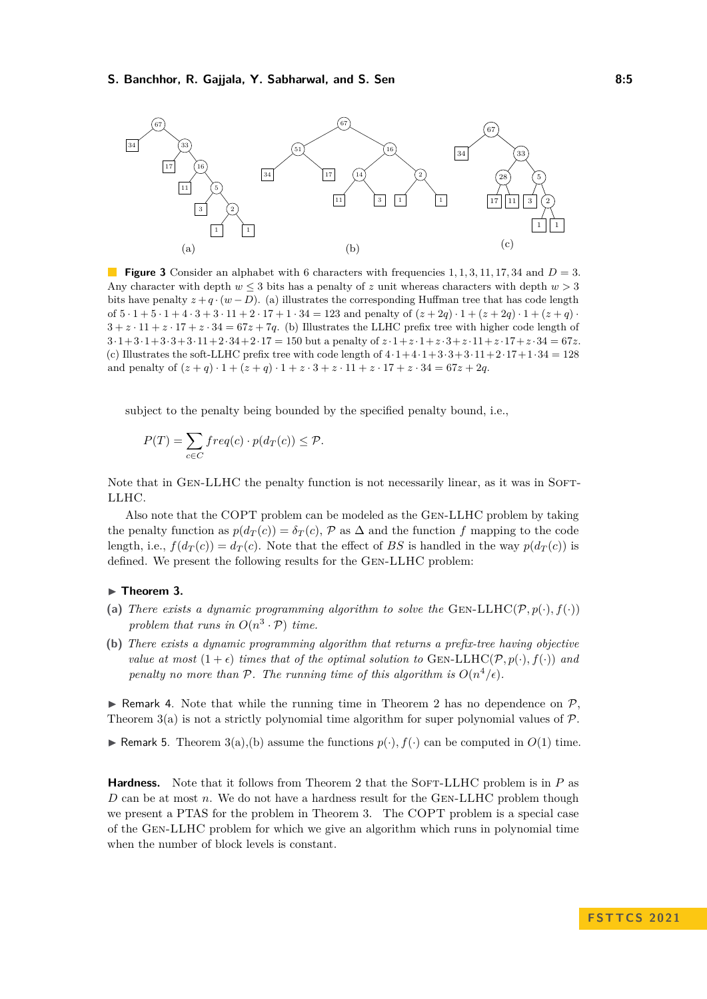#### **S. Banchhor, R. Gajjala, Y. Sabharwal, and S. Sen 6:5 1988 19:5 8:5**

<span id="page-4-0"></span>

**Figure 3** Consider an alphabet with 6 characters with frequencies 1, 1, 3, 11, 17, 34 and  $D = 3$ . Any character with depth  $w \leq 3$  bits has a penalty of *z* unit whereas characters with depth  $w > 3$ bits have penalty  $z + q \cdot (w - D)$ . (a) illustrates the corresponding Huffman tree that has code length of  $5 \cdot 1 + 5 \cdot 1 + 4 \cdot 3 + 3 \cdot 11 + 2 \cdot 17 + 1 \cdot 34 = 123$  and penalty of  $(z + 2q) \cdot 1 + (z + 2q) \cdot 1 + (z + q) \cdot$  $3 + z \cdot 11 + z \cdot 17 + z \cdot 34 = 67z + 7q$ . (b) Illustrates the LLHC prefix tree with higher code length of  $3 \cdot 1 + 3 \cdot 1 + 3 \cdot 3 + 3 \cdot 11 + 2 \cdot 34 + 2 \cdot 17 = 150$  but a penalty of  $z \cdot 1 + z \cdot 1 + z \cdot 3 + z \cdot 11 + z \cdot 17 + z \cdot 34 = 67z$ . (c) Illustrates the soft-LLHC prefix tree with code length of  $4 \cdot 1 + 4 \cdot 1 + 3 \cdot 3 + 3 \cdot 11 + 2 \cdot 17 + 1 \cdot 34 = 128$ and penalty of  $(z+q) \cdot 1 + (z+q) \cdot 1 + z \cdot 3 + z \cdot 11 + z \cdot 17 + z \cdot 34 = 67z + 2q$ .

subject to the penalty being bounded by the specified penalty bound, i.e.,

$$
P(T) = \sum_{c \in C} freq(c) \cdot p(d_T(c)) \le P.
$$

Note that in GEN-LLHC the penalty function is not necessarily linear, as it was in SOFT-LLHC.

Also note that the COPT problem can be modeled as the Gen-LLHC problem by taking the penalty function as  $p(d_T(c)) = \delta_T(c)$ ,  $\mathcal{P}$  as  $\Delta$  and the function  $f$  mapping to the code length, i.e.,  $f(d_T(c)) = d_T(c)$ . Note that the effect of BS is handled in the way  $p(d_T(c))$  is defined. We present the following results for the Gen-LLHC problem:

#### <span id="page-4-1"></span>▶ **Theorem 3.**

- (a) *There exists a dynamic programming algorithm to solve the* GEN-LLHC( $\mathcal{P}, p(\cdot), f(\cdot)$ ) problem that runs in  $O(n^3 \cdot \mathcal{P})$  time.
- **(b)** *There exists a dynamic programming algorithm that returns a prefix-tree having objective value at most*  $(1+\epsilon)$  *times that of the optimal solution to* GEN-LLHC( $\mathcal{P}, p(\cdot), f(\cdot)$ ) *and penalty no more than*  $P$ *. The running time of this algorithm is*  $O(n^4/\epsilon)$ *.*

 $\triangleright$  Remark 4. Note that while the running time in Theorem [2](#page-3-0) has no dependence on  $\mathcal{P}$ , Theorem [3\(](#page-4-1)a) is not a strictly polynomial time algorithm for super polynomial values of  $\mathcal{P}$ .

▶ Remark 5. Theorem  $3(a)$ , (b) assume the functions  $p(·)$ ,  $f(·)$  can be computed in  $O(1)$  time.

**Hardness.** Note that it follows from Theorem [2](#page-3-0) that the SOFT-LLHC problem is in *P* as *D* can be at most *n*. We do not have a hardness result for the GEN-LLHC problem though we present a PTAS for the problem in Theorem [3.](#page-4-1) The COPT problem is a special case of the Gen-LLHC problem for which we give an algorithm which runs in polynomial time when the number of block levels is constant.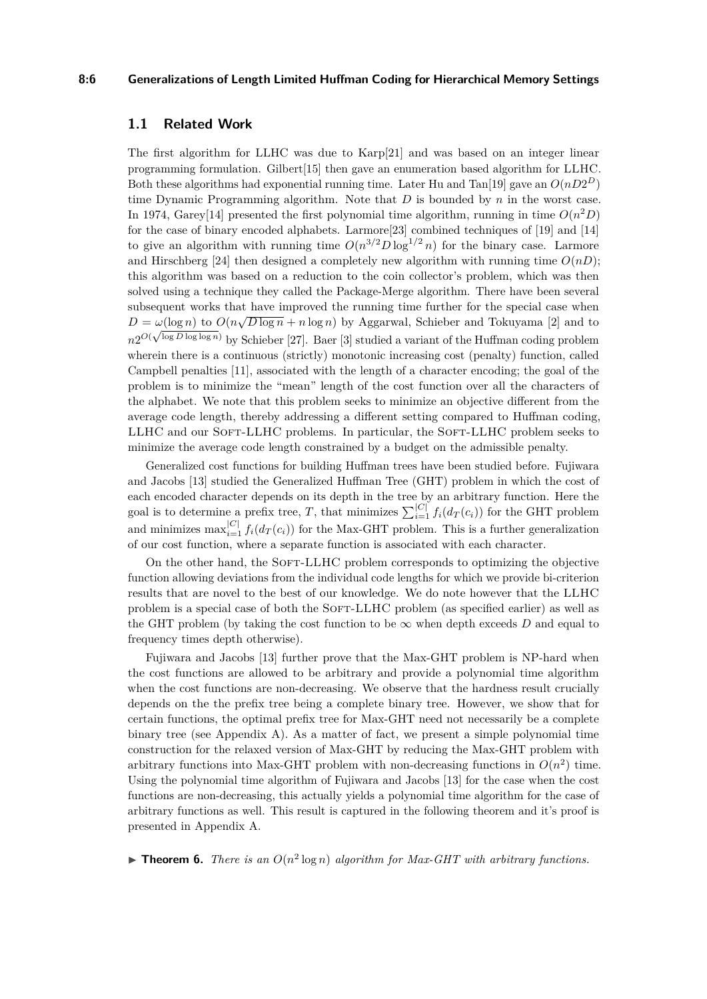#### **8:6 Generalizations of Length Limited Huffman Coding for Hierarchical Memory Settings**

## <span id="page-5-1"></span>**1.1 Related Work**

The first algorithm for LLHC was due to Karp[\[21\]](#page-16-8) and was based on an integer linear programming formulation. Gilbert[\[15\]](#page-16-10) then gave an enumeration based algorithm for LLHC. Both these algorithms had exponential running time. Later Hu and Tan<sup>[\[19\]](#page-16-11)</sup> gave an  $O(nD2^D)$ time Dynamic Programming algorithm. Note that *D* is bounded by *n* in the worst case. In 1974, Garey<sup>[\[14\]](#page-16-9)</sup> presented the first polynomial time algorithm, running in time  $O(n^2D)$ for the case of binary encoded alphabets. Larmore[\[23\]](#page-16-12) combined techniques of [\[19\]](#page-16-11) and [\[14\]](#page-16-9) to give an algorithm with running time  $O(n^{3/2}D\log^{1/2} n)$  for the binary case. Larmore and Hirschberg [\[24\]](#page-16-13) then designed a completely new algorithm with running time  $O(nD)$ ; this algorithm was based on a reduction to the coin collector's problem, which was then solved using a technique they called the Package-Merge algorithm. There have been several subsequent works that have improved the running time further for the special case when  $D = \omega(\log n)$  to  $O(n\sqrt{D \log n} + n \log n)$  by Aggarwal, Schieber and Tokuyama [\[2\]](#page-15-0) and to  $n2^{O(\sqrt{\log D \log \log n})}$  by Schieber [\[27\]](#page-17-3). Baer [\[3\]](#page-15-1) studied a variant of the Huffman coding problem wherein there is a continuous (strictly) monotonic increasing cost (penalty) function, called Campbell penalties [\[11\]](#page-16-14), associated with the length of a character encoding; the goal of the problem is to minimize the "mean" length of the cost function over all the characters of the alphabet. We note that this problem seeks to minimize an objective different from the average code length, thereby addressing a different setting compared to Huffman coding, LLHC and our SOFT-LLHC problems. In particular, the SOFT-LLHC problem seeks to minimize the average code length constrained by a budget on the admissible penalty.

Generalized cost functions for building Huffman trees have been studied before. Fujiwara and Jacobs [\[13\]](#page-16-15) studied the Generalized Huffman Tree (GHT) problem in which the cost of each encoded character depends on its depth in the tree by an arbitrary function. Here the goal is to determine a prefix tree, *T*, that minimizes  $\sum_{i=1}^{|C|} f_i(d_T(c_i))$  for the GHT problem and minimizes  $\max_{i=1}^{|C|} f_i(d_T(c_i))$  for the Max-GHT problem. This is a further generalization of our cost function, where a separate function is associated with each character.

On the other hand, the SOFT-LLHC problem corresponds to optimizing the objective function allowing deviations from the individual code lengths for which we provide bi-criterion results that are novel to the best of our knowledge. We do note however that the LLHC problem is a special case of both the SOFT-LLHC problem (as specified earlier) as well as the GHT problem (by taking the cost function to be  $\infty$  when depth exceeds *D* and equal to frequency times depth otherwise).

Fujiwara and Jacobs [\[13\]](#page-16-15) further prove that the Max-GHT problem is NP-hard when the cost functions are allowed to be arbitrary and provide a polynomial time algorithm when the cost functions are non-decreasing. We observe that the hardness result crucially depends on the the prefix tree being a complete binary tree. However, we show that for certain functions, the optimal prefix tree for Max-GHT need not necessarily be a complete binary tree (see Appendix [A\)](#page-17-4). As a matter of fact, we present a simple polynomial time construction for the relaxed version of Max-GHT by reducing the Max-GHT problem with arbitrary functions into Max-GHT problem with non-decreasing functions in  $O(n^2)$  time. Using the polynomial time algorithm of Fujiwara and Jacobs [\[13\]](#page-16-15) for the case when the cost functions are non-decreasing, this actually yields a polynomial time algorithm for the case of arbitrary functions as well. This result is captured in the following theorem and it's proof is presented in Appendix [A.](#page-17-4)

<span id="page-5-0"></span> $\triangleright$  **Theorem 6.** *There is an*  $O(n^2 \log n)$  *algorithm for Max-GHT with arbitrary functions.*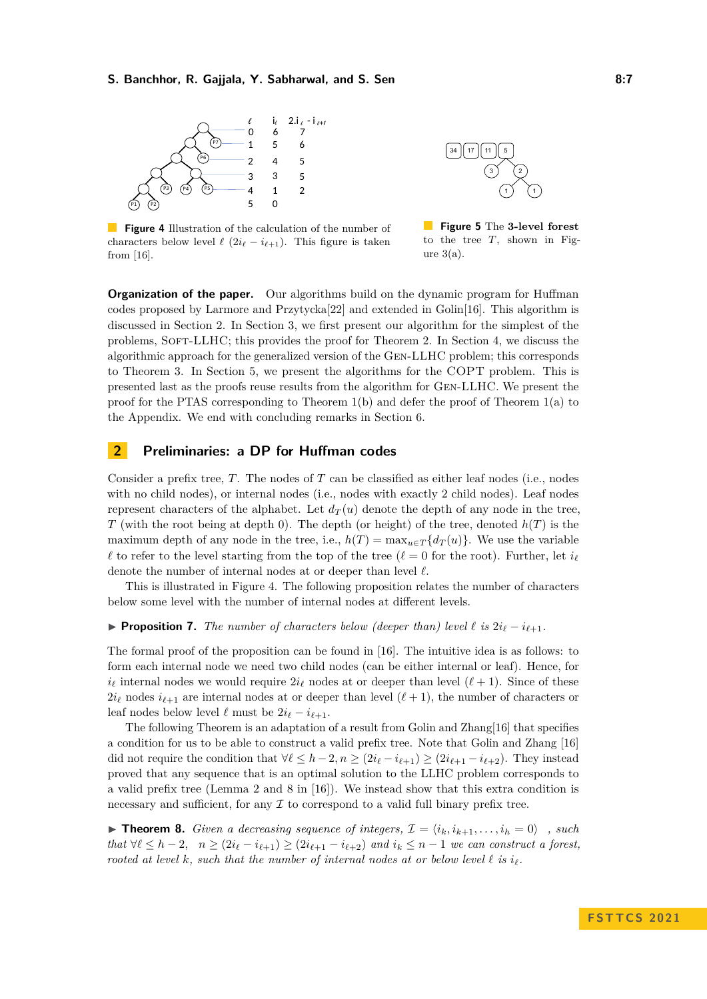#### **S. Banchhor, R. Gajjala, Y. Sabharwal, and S. Sen 8:7**

<span id="page-6-1"></span>

34 || 17 || 11 || 5 3) (2 1 ) (1

**Figure 4** Illustration of the calculation of the number of characters below level  $\ell$  ( $2i_{\ell} - i_{\ell+1}$ ). This figure is taken from [\[16\]](#page-16-16).

**Figure 5** The **3-level forest** to the tree *T*, shown in Figure  $3(a)$ .

**Organization of the paper.** Our algorithms build on the dynamic program for Huffman codes proposed by Larmore and Przytycka[\[22\]](#page-16-17) and extended in Golin[\[16\]](#page-16-16). This algorithm is discussed in Section [2.](#page-6-0) In Section [3,](#page-8-0) we first present our algorithm for the simplest of the problems, Soft-LLHC; this provides the proof for Theorem [2.](#page-3-0) In Section [4,](#page-10-0) we discuss the algorithmic approach for the generalized version of the Gen-LLHC problem; this corresponds to Theorem [3.](#page-4-1) In Section [5,](#page-13-0) we present the algorithms for the COPT problem. This is presented last as the proofs reuse results from the algorithm for Gen-LLHC. We present the proof for the PTAS corresponding to Theorem [1\(](#page-2-0)b) and defer the proof of Theorem [1\(](#page-2-0)a) to the Appendix. We end with concluding remarks in Section [6.](#page-15-2)

# <span id="page-6-0"></span>**2 Preliminaries: a DP for Huffman codes**

Consider a prefix tree, *T*. The nodes of *T* can be classified as either leaf nodes (i.e., nodes with no child nodes), or internal nodes (i.e., nodes with exactly 2 child nodes). Leaf nodes represent characters of the alphabet. Let  $d_T(u)$  denote the depth of any node in the tree, *T* (with the root being at depth 0). The depth (or height) of the tree, denoted *h*(*T*) is the maximum depth of any node in the tree, i.e.,  $h(T) = \max_{u \in T} \{d_T(u)\}\.$  We use the variable  $\ell$  to refer to the level starting from the top of the tree ( $\ell = 0$  for the root). Further, let  $i_{\ell}$ denote the number of internal nodes at or deeper than level *ℓ*.

This is illustrated in Figure [4.](#page-6-1) The following proposition relates the number of characters below some level with the number of internal nodes at different levels.

<span id="page-6-3"></span>▶ **Proposition 7.** *The number of characters below (deeper than) level*  $\ell$  *is*  $2i_{\ell} - i_{\ell+1}$ *.* 

The formal proof of the proposition can be found in [\[16\]](#page-16-16). The intuitive idea is as follows: to form each internal node we need two child nodes (can be either internal or leaf). Hence, for  $i_{\ell}$  internal nodes we would require  $2i_{\ell}$  nodes at or deeper than level  $(\ell + 1)$ . Since of these  $2i_{\ell}$  nodes  $i_{\ell+1}$  are internal nodes at or deeper than level  $(\ell+1)$ , the number of characters or leaf nodes below level  $\ell$  must be  $2i_{\ell} - i_{\ell+1}$ .

The following Theorem is an adaptation of a result from Golin and Zhang[\[16\]](#page-16-16) that specifies a condition for us to be able to construct a valid prefix tree. Note that Golin and Zhang [\[16\]](#page-16-16) did not require the condition that  $\forall \ell \leq h-2, n \geq (2i_{\ell}-i_{\ell+1}) \geq (2i_{\ell+1}-i_{\ell+2})$ . They instead proved that any sequence that is an optimal solution to the LLHC problem corresponds to a valid prefix tree (Lemma 2 and 8 in [\[16\]](#page-16-16)). We instead show that this extra condition is necessary and sufficient, for any  $\mathcal I$  to correspond to a valid full binary prefix tree.

<span id="page-6-2"></span>▶ **Theorem 8.** *Given a decreasing sequence of integers,*  $\mathcal{I} = \langle i_k, i_{k+1}, \ldots, i_h = 0 \rangle$ , such *that*  $∀\ell ≤ h - 2$ ,  $n ≥ (2i_{\ell} - i_{\ell+1}) ≥ (2i_{\ell+1} - i_{\ell+2})$  *and*  $i_k ≤ n - 1$  *we can construct a forest, rooted at level k, such that the number of internal nodes at or below level*  $\ell$  *is*  $i_{\ell}$ *.*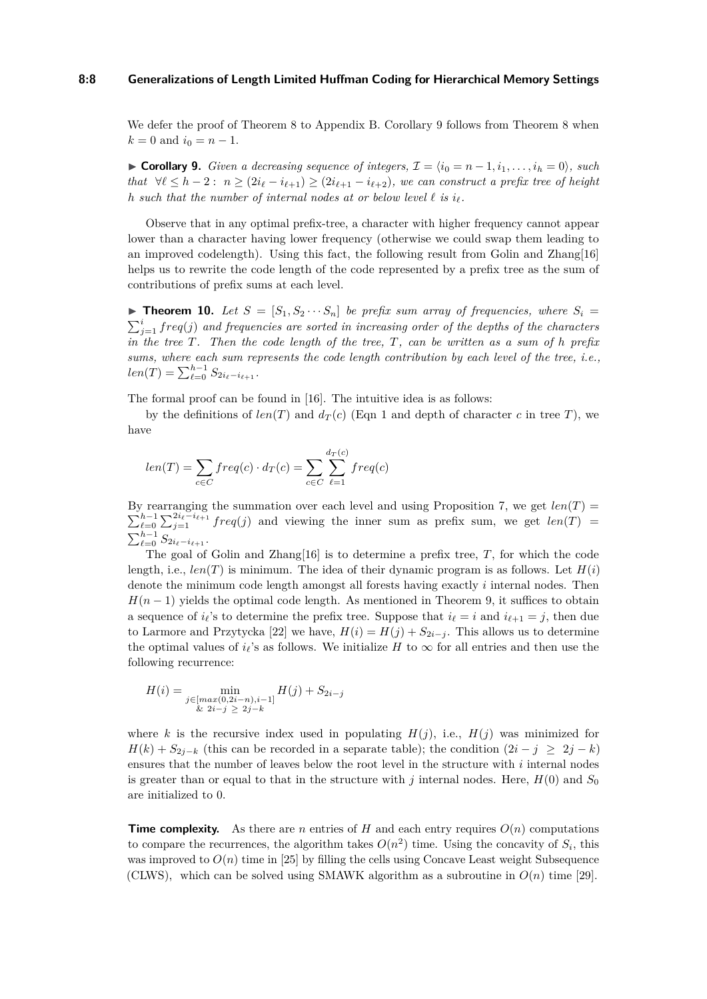#### **8:8 Generalizations of Length Limited Huffman Coding for Hierarchical Memory Settings**

We defer the proof of Theorem [8](#page-6-2) to Appendix [B.](#page-18-0) Corollary [9](#page-7-0) follows from Theorem 8 when  $k = 0$  and  $i_0 = n - 1$ .

<span id="page-7-0"></span>▶ **Corollary 9.** *Given a decreasing sequence of integers,*  $\mathcal{I} = \langle i_0 = n-1, i_1, \ldots, i_h = 0 \rangle$ *, such that*  $∀ℓ ≤ h − 2 : n ≥ (2*i*<sub>ℓ</sub> − *i*<sub>ℓ+1</sub>) ≥ (2*i*<sub>ℓ+1</sub> − *i*<sub>ℓ+2</sub>), we can construct a prefix tree of height$ *h* such that the number of internal nodes at or below level  $\ell$  is  $i_{\ell}$ .

Observe that in any optimal prefix-tree, a character with higher frequency cannot appear lower than a character having lower frequency (otherwise we could swap them leading to an improved codelength). Using this fact, the following result from Golin and Zhang[\[16\]](#page-16-16) helps us to rewrite the code length of the code represented by a prefix tree as the sum of contributions of prefix sums at each level.

<span id="page-7-1"></span> $\triangleright$  **Theorem 10.** Let  $S = [S_1, S_2 \cdots S_n]$  be prefix sum array of frequencies, where  $S_i =$  $\sum_{j=1}^{i} freq(j)$  and frequencies are sorted in increasing order of the depths of the characters *in the tree T. Then the code length of the tree, T, can be written as a sum of h prefix sums, where each sum represents the code length contribution by each level of the tree, i.e.,*  $len(T) = \sum_{\ell=0}^{h-1} S_{2i_{\ell}-i_{\ell+1}}.$ 

The formal proof can be found in [\[16\]](#page-16-16). The intuitive idea is as follows:

by the definitions of  $len(T)$  and  $d_T(c)$  (Eqn [1](#page-1-1) and depth of character *c* in tree *T*), we have

$$
len(T) = \sum_{c \in C} freq(c) \cdot d_T(c) = \sum_{c \in C} \sum_{\ell=1}^{d_T(c)} freq(c)
$$

By rearranging the summation over each level and using Proposition [7,](#page-6-3) we get  $len(T)$  $\sum_{\ell=0}^{h-1} \sum_{j=1}^{2i_{\ell}-i_{\ell+1}} freq(j)$  and viewing the inner sum as prefix sum, we get  $len(T)$  $\sum_{\ell=0}^{h-1} S_{2i_{\ell}-i_{\ell+1}}.$ 

The goal of Golin and Zhang[\[16\]](#page-16-16) is to determine a prefix tree, *T*, for which the code length, i.e.,  $len(T)$  is minimum. The idea of their dynamic program is as follows. Let  $H(i)$ denote the minimum code length amongst all forests having exactly *i* internal nodes. Then  $H(n-1)$  yields the optimal code length. As mentioned in Theorem [9,](#page-7-0) it suffices to obtain a sequence of  $i_{\ell}$ 's to determine the prefix tree. Suppose that  $i_{\ell} = i$  and  $i_{\ell+1} = j$ , then due to Larmore and Przytycka [\[22\]](#page-16-17) we have,  $H(i) = H(j) + S_{2i-j}$ . This allows us to determine the optimal values of  $i_{\ell}$ 's as follows. We initialize *H* to  $\infty$  for all entries and then use the following recurrence:

$$
H(i) = \min_{\substack{j \in [max(0, 2i - n), i - 1] \\ \& 2i - j \ge 2j - k}} H(j) + S_{2i - j}
$$

where *k* is the recursive index used in populating  $H(j)$ , i.e.,  $H(j)$  was minimized for *H*(*k*) +  $S_{2i-k}$  (this can be recorded in a separate table); the condition  $(2i - j \geq 2j - k)$ ensures that the number of leaves below the root level in the structure with *i* internal nodes is greater than or equal to that in the structure with *j* internal nodes. Here,  $H(0)$  and  $S_0$ are initialized to 0.

**Time complexity.** As there are *n* entries of *H* and each entry requires  $O(n)$  computations to compare the recurrences, the algorithm takes  $O(n^2)$  time. Using the concavity of  $S_i$ , this was improved to  $O(n)$  time in [\[25\]](#page-17-5) by filling the cells using Concave Least weight Subsequence (CLWS), which can be solved using SMAWK algorithm as a subroutine in  $O(n)$  time [\[29\]](#page-17-6).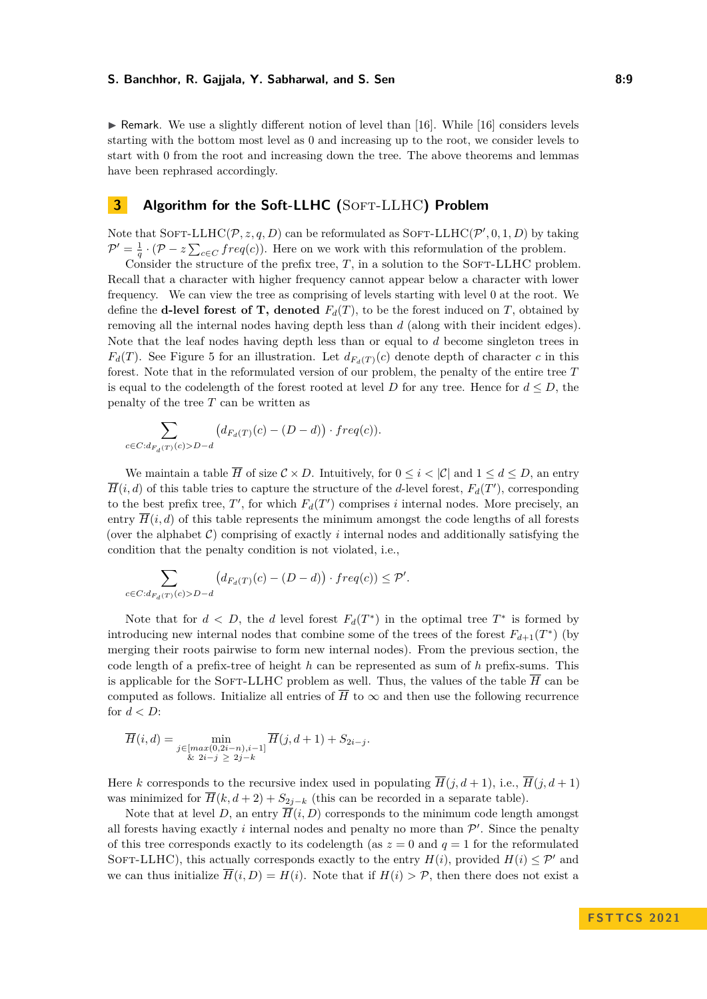$\triangleright$  Remark. We use a slightly different notion of level than [\[16\]](#page-16-16). While [16] considers levels starting with the bottom most level as 0 and increasing up to the root, we consider levels to start with 0 from the root and increasing down the tree. The above theorems and lemmas have been rephrased accordingly.

# <span id="page-8-0"></span>**3 Algorithm for the Soft-LLHC (**Soft-LLHC**) Problem**

Note that  $Sorr-LLHC(P, z, q, D)$  can be reformulated as  $Sorr-LLHC(P', 0, 1, D)$  by taking  $\mathcal{P}' = \frac{1}{q} \cdot (\mathcal{P} - z \sum_{c \in C} freq(c)).$  Here on we work with this reformulation of the problem.

Consider the structure of the prefix tree,  $T$ , in a solution to the SOFT-LLHC problem. Recall that a character with higher frequency cannot appear below a character with lower frequency. We can view the tree as comprising of levels starting with level 0 at the root. We define the **d-level forest of T, denoted**  $F_d(T)$ , to be the forest induced on T, obtained by removing all the internal nodes having depth less than *d* (along with their incident edges). Note that the leaf nodes having depth less than or equal to *d* become singleton trees in  $F_d(T)$ . See Figure [5](#page-6-1) for an illustration. Let  $d_{F_d(T)}(c)$  denote depth of character *c* in this forest. Note that in the reformulated version of our problem, the penalty of the entire tree *T* is equal to the codelength of the forest rooted at level *D* for any tree. Hence for  $d \leq D$ , the penalty of the tree *T* can be written as

$$
\sum_{c \in C:d_{F_d(T)}(c) > D-d} \left( d_{F_d(T)}(c) - (D-d) \right) \cdot freq(c).
$$

We maintain a table  $\overline{H}$  of size  $\mathcal{C} \times D$ . Intuitively, for  $0 \leq i \leq |\mathcal{C}|$  and  $1 \leq d \leq D$ , an entry  $\overline{H}(i, d)$  of this table tries to capture the structure of the *d*-level forest,  $F_d(T)$ , corresponding to the best prefix tree,  $T'$ , for which  $F_d(T')$  comprises *i* internal nodes. More precisely, an entry  $\overline{H}(i, d)$  of this table represents the minimum amongst the code lengths of all forests (over the alphabet  $\mathcal{C}$ ) comprising of exactly *i* internal nodes and additionally satisfying the condition that the penalty condition is not violated, i.e.,

$$
\sum_{c \in C: d_{F_d(T)}(c) > D - d} \left( d_{F_d(T)}(c) - (D - d) \right) \cdot freq(c) \le \mathcal{P}'.
$$

Note that for  $d < D$ , the *d* level forest  $F_d(T^*)$  in the optimal tree  $T^*$  is formed by introducing new internal nodes that combine some of the trees of the forest  $F_{d+1}(T^*)$  (by merging their roots pairwise to form new internal nodes). From the previous section, the code length of a prefix-tree of height *h* can be represented as sum of *h* prefix-sums. This is applicable for the SOFT-LLHC problem as well. Thus, the values of the table  $\overline{H}$  can be computed as follows. Initialize all entries of  $\overline{H}$  to  $\infty$  and then use the following recurrence for *d < D*:

$$
\overline{H}(i,d) = \min_{\substack{j \in [max(0,2i-n), i-1] \\ \& 2i-j \geq 2j-k}} \overline{H}(j,d+1) + S_{2i-j}.
$$

Here *k* corresponds to the recursive index used in populating  $\overline{H}(i, d+1)$ , i.e.,  $\overline{H}(i, d+1)$ was minimized for  $\overline{H}(k, d+2) + S_{2j-k}$  (this can be recorded in a separate table).

Note that at level *D*, an entry  $\overline{H}(i, D)$  corresponds to the minimum code length amongst all forests having exactly  $i$  internal nodes and penalty no more than  $\mathcal{P}'$ . Since the penalty of this tree corresponds exactly to its codelength (as  $z = 0$  and  $q = 1$  for the reformulated SOFT-LLHC), this actually corresponds exactly to the entry  $H(i)$ , provided  $H(i) \leq P'$  and we can thus initialize  $\overline{H}(i, D) = H(i)$ . Note that if  $H(i) > P$ , then there does not exist a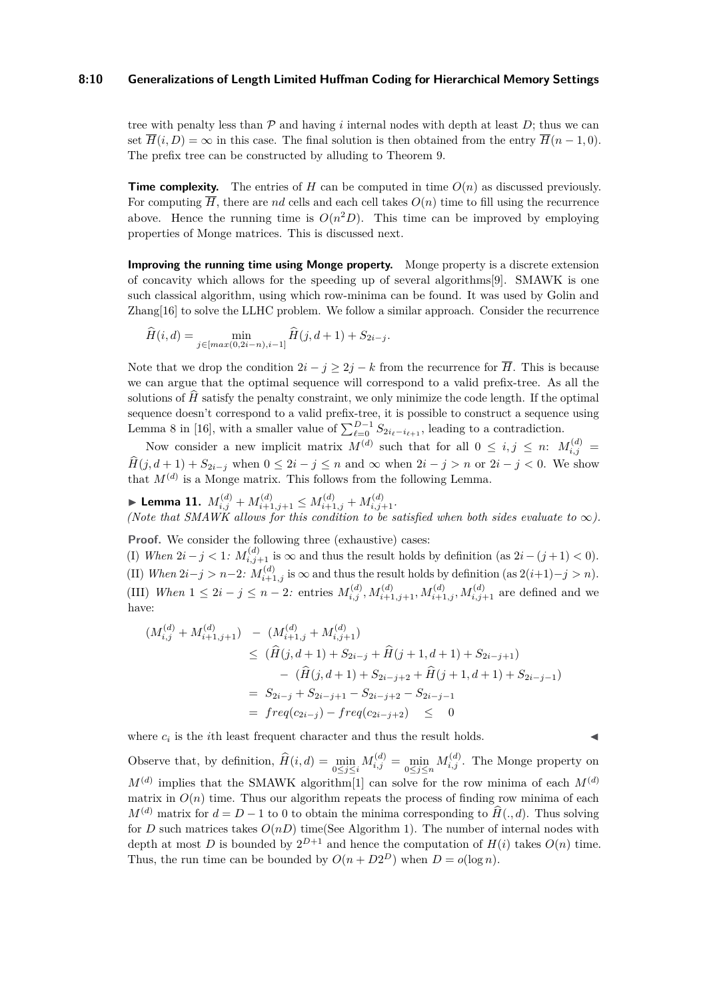#### **8:10 Generalizations of Length Limited Huffman Coding for Hierarchical Memory Settings**

tree with penalty less than  $\mathcal P$  and having *i* internal nodes with depth at least  $D$ ; thus we can set  $\overline{H}(i, D) = \infty$  in this case. The final solution is then obtained from the entry  $\overline{H}(n-1, 0)$ . The prefix tree can be constructed by alluding to Theorem [9.](#page-7-0)

**Time complexity.** The entries of *H* can be computed in time  $O(n)$  as discussed previously. For computing  $\overline{H}$ , there are *nd* cells and each cell takes  $O(n)$  time to fill using the recurrence above. Hence the running time is  $O(n^2D)$ . This time can be improved by employing properties of Monge matrices. This is discussed next.

**Improving the running time using Monge property.** Monge property is a discrete extension of concavity which allows for the speeding up of several algorithms[\[9\]](#page-16-18). SMAWK is one such classical algorithm, using which row-minima can be found. It was used by Golin and Zhang[\[16\]](#page-16-16) to solve the LLHC problem. We follow a similar approach. Consider the recurrence

$$
\widehat{H}(i,d) = \min_{j \in [max(0,2i-n), i-1]} \widehat{H}(j,d+1) + S_{2i-j}.
$$

Note that we drop the condition  $2i - j \geq 2j - k$  from the recurrence for  $\overline{H}$ . This is because we can argue that the optimal sequence will correspond to a valid prefix-tree. As all the solutions of  $H$  satisfy the penalty constraint, we only minimize the code length. If the optimal sequence doesn't correspond to a valid prefix-tree, it is possible to construct a sequence using Lemma 8 in [\[16\]](#page-16-16), with a smaller value of  $\sum_{\ell=0}^{D-1} S_{2i_{\ell}-i_{\ell+1}}$ , leading to a contradiction.

Now consider a new implicit matrix  $M^{(d)}$  such that for all  $0 \leq i, j \leq n$ :  $M_{i,j}^{(d)} =$  $\widehat{H}(j, d+1) + S_{2i-j}$  when  $0 \leq 2i - j \leq n$  and  $\infty$  when  $2i - j > n$  or  $2i - j < 0$ . We show that  $M^{(d)}$  is a Monge matrix. This follows from the following Lemma.

▶ Lemma 11.  $M_{i,j}^{(d)} + M_{i+1,j+1}^{(d)} \leq M_{i+1,j}^{(d)} + M_{i,j+1}^{(d)}$ . *(Note that SMAWK allows for this condition to be satisfied when both sides evaluate to*  $\infty$ *).* 

**Proof.** We consider the following three (exhaustive) cases:

(I) *When*  $2i - j < 1$ :  $M_{i,j+1}^{(d)}$  is  $\infty$  and thus the result holds by definition (as  $2i - (j+1) < 0$ ). (II) *When*  $2i-j > n-2$ :  $M_{i+1,j}^{(d)}$  is  $\infty$  and thus the result holds by definition (as  $2(i+1)-j > n$ ). (III) When  $1 \leq 2i - j \leq n-2$ : entries  $M_{i,j}^{(d)}$ ,  $M_{i+1,j+1}^{(d)}$ ,  $M_{i+1,j}^{(d)}$ ,  $M_{i,j+1}^{(d)}$  are defined and we have:

$$
(M_{i,j}^{(d)} + M_{i+1,j+1}^{(d)}) - (M_{i+1,j}^{(d)} + M_{i,j+1}^{(d)})
$$
  
\n
$$
\leq (\widehat{H}(j,d+1) + S_{2i-j} + \widehat{H}(j+1,d+1) + S_{2i-j+1})
$$
  
\n
$$
- (\widehat{H}(j,d+1) + S_{2i-j+2} + \widehat{H}(j+1,d+1) + S_{2i-j-1})
$$
  
\n
$$
= S_{2i-j} + S_{2i-j+1} - S_{2i-j+2} - S_{2i-j-1}
$$
  
\n
$$
= freq(c_{2i-j}) - freq(c_{2i-j+2}) \leq 0
$$

where  $c_i$  is the *i*th least frequent character and thus the result holds.  $\triangleleft$ 

Observe that, by definition,  $\widehat{H}(i, d) = \min_{0 \le j \le i} M_{i,j}^{(d)} = \min_{0 \le j \le n} M_{i,j}^{(d)}$ . The Monge property on  $M^{(d)}$  implies that the SMAWK algorithm<sup>[\[1\]](#page-15-3)</sup> can solve for the row minima of each  $M^{(d)}$ matrix in  $O(n)$  time. Thus our algorithm repeats the process of finding row minima of each  $M^{(d)}$  matrix for  $d = D - 1$  to 0 to obtain the minima corresponding to  $\widehat{H}(\cdot, d)$ . Thus solving for *D* such matrices takes  $O(nD)$  time(See Algorithm [1\)](#page-10-1). The number of internal nodes with depth at most *D* is bounded by  $2^{D+1}$  and hence the computation of  $H(i)$  takes  $O(n)$  time. Thus, the run time can be bounded by  $O(n + D2^D)$  when  $D = o(\log n)$ .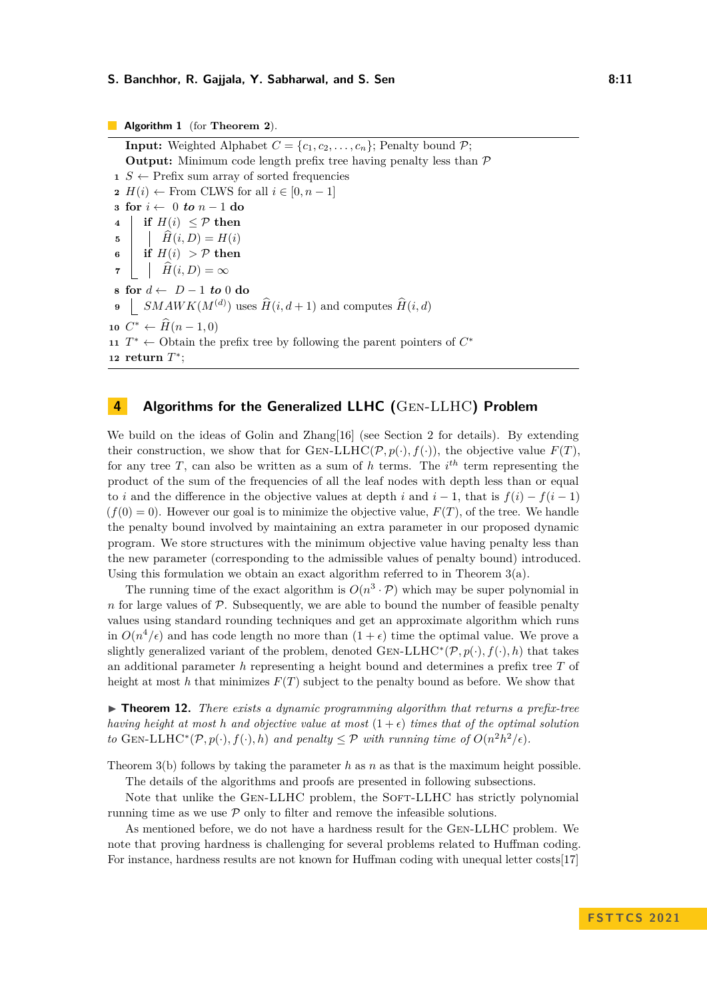#### **S. Banchhor, R. Gajjala, Y. Sabharwal, and S. Sen 6. 11 10. 12. 13. 13. 14. 14. 15. 16. 16. 16. 17. 18. 11**

#### **Algorithm 1** (for **Theorem [2](#page-3-0)**).

**Input:** Weighted Alphabet  $C = \{c_1, c_2, \ldots, c_n\}$ ; Penalty bound  $P$ ; **Output:** Minimum code length prefix tree having penalty less than  $\mathcal{P}$   $S \leftarrow$  Prefix sum array of sorted frequencies *H*(*i*) ← From CLWS for all  $i \in [0, n-1]$  **for**  $i \leftarrow 0$  *to*  $n-1$  **do if**  $H(i) < P$  **then**  $\begin{array}{c|c} \n\mathbf{5} & \n\end{array}$   $\begin{array}{c} \n\mathbf{H}(i, D) = H(i) \\
\mathbf{f}(i) > \mathcal{P} \text{ then} \n\end{array}$ **if**  $H(i) > P$  **then**   $\hat{H}(i, D) = \infty$  **for** *d* ← *D* − 1 *to* 0 **do**  $\left[ \text{SMAWK}(M^{(d)}) \text{ uses } \widehat{H}(i, d+1) \text{ and computes } \widehat{H}(i, d) \right]$   $C^*$  ←  $\hat{H}(n-1,0)$   $T^*$  ← Obtain the prefix tree by following the parent pointers of  $C^*$ **return** *T* ∗ ;

# <span id="page-10-1"></span><span id="page-10-0"></span>**4 Algorithms for the Generalized LLHC (**Gen-LLHC**) Problem**

We build on the ideas of Golin and Zhang[\[16\]](#page-16-16) (see Section [2](#page-6-0) for details). By extending their construction, we show that for  $GEN-LLHC(\mathcal{P}, p(\cdot), f(\cdot))$ , the objective value  $F(T)$ . for any tree T, can also be written as a sum of h terms. The  $i^{th}$  term representing the product of the sum of the frequencies of all the leaf nodes with depth less than or equal to *i* and the difference in the objective values at depth *i* and  $i - 1$ , that is  $f(i) - f(i - 1)$  $(f(0) = 0)$ . However our goal is to minimize the objective value,  $F(T)$ , of the tree. We handle the penalty bound involved by maintaining an extra parameter in our proposed dynamic program. We store structures with the minimum objective value having penalty less than the new parameter (corresponding to the admissible values of penalty bound) introduced. Using this formulation we obtain an exact algorithm referred to in Theorem  $3(a)$ .

The running time of the exact algorithm is  $O(n^3 \cdot \mathcal{P})$  which may be super polynomial in *n* for large values of  $P$ . Subsequently, we are able to bound the number of feasible penalty values using standard rounding techniques and get an approximate algorithm which runs in  $O(n^4/\epsilon)$  and has code length no more than  $(1+\epsilon)$  time the optimal value. We prove a slightly generalized variant of the problem, denoted  $G_{EN}\text{-}LLHC^*(\mathcal{P},p(\cdot),f(\cdot),h)$  that takes an additional parameter *h* representing a height bound and determines a prefix tree *T* of height at most h that minimizes  $F(T)$  subject to the penalty bound as before. We show that

<span id="page-10-2"></span>▶ **Theorem 12.** *There exists a dynamic programming algorithm that returns a prefix-tree having height at most h* and objective value at most  $(1+\epsilon)$  *times that of the optimal solution to* GEN-LLHC<sup>\*</sup>( $\mathcal{P}, p(\cdot), f(\cdot), h$ ) *and penalty*  $\leq \mathcal{P}$  *with running time of*  $O(n^2h^2/\epsilon)$ *.* 

Theorem [3\(](#page-4-1)b) follows by taking the parameter *h* as *n* as that is the maximum height possible.

The details of the algorithms and proofs are presented in following subsections.

Note that unlike the GEN-LLHC problem, the SOFT-LLHC has strictly polynomial running time as we use  $P$  only to filter and remove the infeasible solutions.

As mentioned before, we do not have a hardness result for the Gen-LLHC problem. We note that proving hardness is challenging for several problems related to Huffman coding. For instance, hardness results are not known for Huffman coding with unequal letter costs[\[17\]](#page-16-19)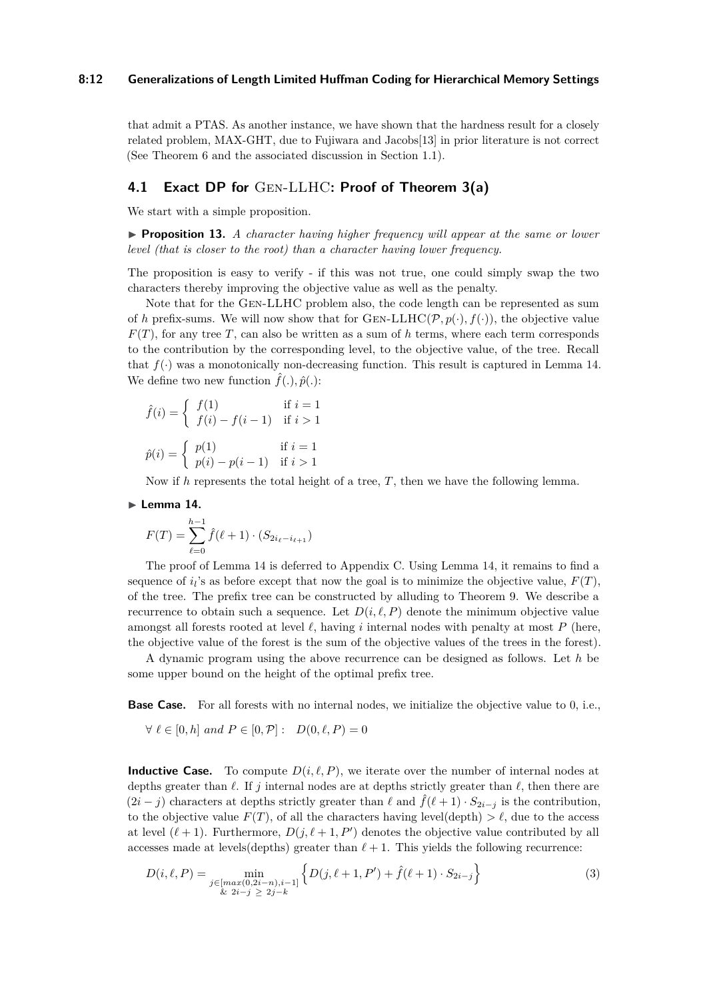#### **8:12 Generalizations of Length Limited Huffman Coding for Hierarchical Memory Settings**

that admit a PTAS. As another instance, we have shown that the hardness result for a closely related problem, MAX-GHT, due to Fujiwara and Jacobs[\[13\]](#page-16-15) in prior literature is not correct (See Theorem [6](#page-5-0) and the associated discussion in Section [1.1\)](#page-5-1).

# **4.1 Exact DP for** Gen-LLHC**: Proof of Theorem [3\(](#page-4-1)a)**

We start with a simple proposition.

▶ **Proposition 13.** *A character having higher frequency will appear at the same or lower level (that is closer to the root) than a character having lower frequency.*

The proposition is easy to verify - if this was not true, one could simply swap the two characters thereby improving the objective value as well as the penalty.

Note that for the Gen-LLHC problem also, the code length can be represented as sum of *h* prefix-sums. We will now show that for GEN-LLHC( $\mathcal{P}, p(\cdot), f(\cdot)$ ), the objective value  $F(T)$ , for any tree *T*, can also be written as a sum of *h* terms, where each term corresponds to the contribution by the corresponding level, to the objective value, of the tree. Recall that  $f(\cdot)$  was a monotonically non-decreasing function. This result is captured in Lemma [14.](#page-11-0) We define two new function  $\hat{f}(.)$ ,  $\hat{p}(.)$ :

$$
\hat{f}(i) = \begin{cases}\nf(1) & \text{if } i = 1 \\
f(i) - f(i - 1) & \text{if } i > 1\n\end{cases}
$$
\n
$$
\hat{p}(i) = \begin{cases}\np(1) & \text{if } i = 1 \\
p(i) - p(i - 1) & \text{if } i > 1\n\end{cases}
$$

Now if *h* represents the total height of a tree, *T*, then we have the following lemma.

<span id="page-11-0"></span>
$$
\blacktriangleright
$$
 Lemma 14.

$$
F(T) = \sum_{\ell=0}^{h-1} \hat{f}(\ell+1) \cdot (S_{2i_{\ell}-i_{\ell+1}})
$$

The proof of Lemma [14](#page-11-0) is deferred to Appendix [C.](#page-18-1) Using Lemma [14,](#page-11-0) it remains to find a sequence of  $i_l$ 's as before except that now the goal is to minimize the objective value,  $F(T)$ , of the tree. The prefix tree can be constructed by alluding to Theorem [9.](#page-7-0) We describe a recurrence to obtain such a sequence. Let  $D(i, \ell, P)$  denote the minimum objective value amongst all forests rooted at level *ℓ*, having *i* internal nodes with penalty at most *P* (here, the objective value of the forest is the sum of the objective values of the trees in the forest).

A dynamic program using the above recurrence can be designed as follows. Let *h* be some upper bound on the height of the optimal prefix tree.

**Base Case.** For all forests with no internal nodes, we initialize the objective value to 0, i.e.,

$$
\forall \ell \in [0, h] \text{ and } P \in [0, \mathcal{P}] : D(0, \ell, P) = 0
$$

**Inductive Case.** To compute  $D(i, \ell, P)$ , we iterate over the number of internal nodes at depths greater than *ℓ*. If *j* internal nodes are at depths strictly greater than *ℓ*, then there are  $(2i - j)$  characters at depths strictly greater than  $\ell$  and  $\hat{f}(\ell+1) \cdot S_{2i-j}$  is the contribution, to the objective value  $F(T)$ , of all the characters having level(depth)  $> l$ , due to the access at level  $(\ell + 1)$ . Furthermore,  $D(j, \ell + 1, P')$  denotes the objective value contributed by all accesses made at levels(depths) greater than  $\ell + 1$ . This yields the following recurrence:

$$
D(i, \ell, P) = \min_{\substack{j \in [max(0, 2i - n), i - 1] \\ \& 2i - j \ge 2j - k}} \left\{ D(j, \ell + 1, P') + \hat{f}(\ell + 1) \cdot S_{2i - j} \right\}
$$
(3)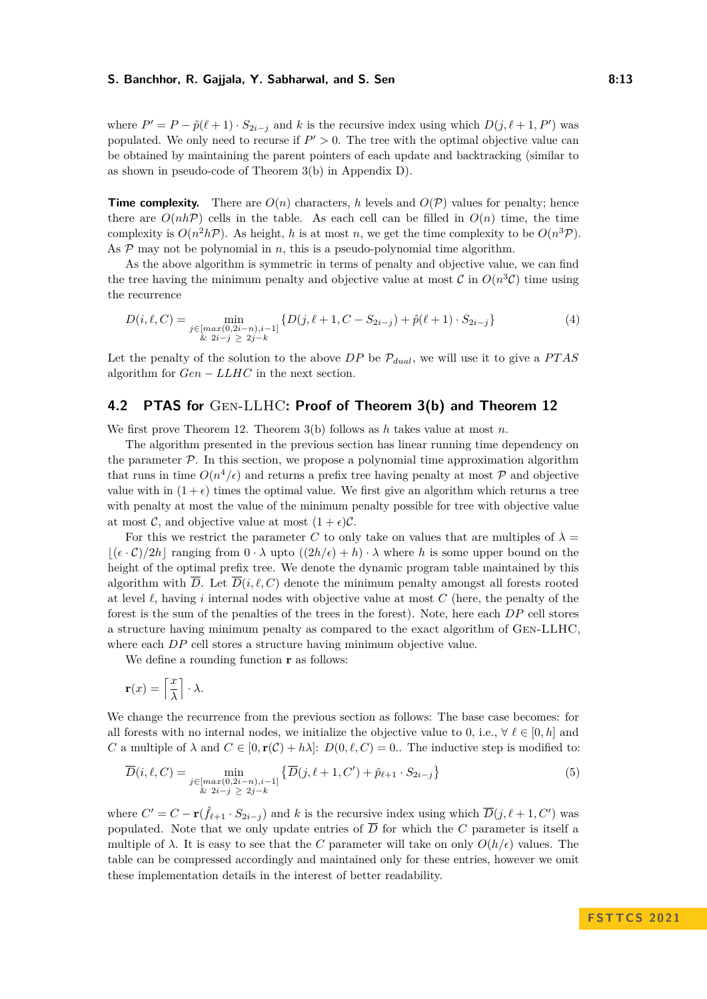#### **S. Banchhor, R. Gajjala, Y. Sabharwal, and S. Sen 6.13 13 13 13**

where  $P' = P - \hat{p}(\ell + 1) \cdot S_{2i-j}$  and *k* is the recursive index using which  $D(j, \ell + 1, P')$  was populated. We only need to recurse if  $P' > 0$ . The tree with the optimal objective value can be obtained by maintaining the parent pointers of each update and backtracking (similar to as shown in pseudo-code of Theorem [3\(](#page-4-1)b) in Appendix [D\)](#page-19-0).

**Time complexity.** There are  $O(n)$  characters, h levels and  $O(\mathcal{P})$  values for penalty; hence there are  $O(nh\mathcal{P})$  cells in the table. As each cell can be filled in  $O(n)$  time, the time complexity is  $O(n^2h\mathcal{P})$ . As height, *h* is at most *n*, we get the time complexity to be  $O(n^3\mathcal{P})$ . As  $P$  may not be polynomial in *n*, this is a pseudo-polynomial time algorithm.

As the above algorithm is symmetric in terms of penalty and objective value, we can find the tree having the minimum penalty and objective value at most  $\mathcal C$  in  $O(n^3 \mathcal C)$  time using the recurrence

<span id="page-12-0"></span>
$$
D(i, \ell, C) = \min_{\substack{j \in [max(0, 2i - n), i - 1] \\ \& 2i - j \ge 2j - k}} \{D(j, \ell + 1, C - S_{2i - j}) + \hat{p}(\ell + 1) \cdot S_{2i - j}\}
$$
(4)

Let the penalty of the solution to the above  $DP$  be  $P_{dual}$ , we will use it to give a  $PTAS$ algorithm for *Gen* − *LLHC* in the next section.

## **4.2 PTAS for** Gen-LLHC**: Proof of Theorem [3\(](#page-4-1)b) and Theorem [12](#page-10-2)**

We first prove Theorem [12.](#page-10-2) Theorem [3\(](#page-4-1)b) follows as *h* takes value at most *n*.

The algorithm presented in the previous section has linear running time dependency on the parameter  $P$ . In this section, we propose a polynomial time approximation algorithm that runs in time  $O(n^4/\epsilon)$  and returns a prefix tree having penalty at most P and objective value with in  $(1 + \epsilon)$  times the optimal value. We first give an algorithm which returns a tree with penalty at most the value of the minimum penalty possible for tree with objective value at most  $\mathcal{C}$ , and objective value at most  $(1 + \epsilon)\mathcal{C}$ .

For this we restrict the parameter *C* to only take on values that are multiples of  $\lambda =$  $|(\epsilon \cdot \mathcal{C})/2h|$  ranging from  $0 \cdot \lambda$  upto  $((2h/\epsilon) + h) \cdot \lambda$  where h is some upper bound on the height of the optimal prefix tree. We denote the dynamic program table maintained by this algorithm with  $\overline{D}$ . Let  $\overline{D}(i,\ell,\mathcal{C})$  denote the minimum penalty amongst all forests rooted at level *ℓ*, having *i* internal nodes with objective value at most *C* (here, the penalty of the forest is the sum of the penalties of the trees in the forest). Note, here each *DP* cell stores a structure having minimum penalty as compared to the exact algorithm of Gen-LLHC, where each *DP* cell stores a structure having minimum objective value.

We define a rounding function **r** as follows:

$$
\mathbf{r}(x) = \left\lceil \frac{x}{\lambda} \right\rceil \cdot \lambda.
$$

We change the recurrence from the previous section as follows: The base case becomes: for all forests with no internal nodes, we initialize the objective value to 0, i.e.,  $\forall \ell \in [0, h]$  and *C* a multiple of  $\lambda$  and  $C \in [0, \mathbf{r}(\mathcal{C}) + h\lambda]$ :  $D(0, \ell, C) = 0$ . The inductive step is modified to:

<span id="page-12-1"></span>
$$
\overline{D}(i,\ell,C) = \min_{\substack{j \in [max(0,2i-n),i-1] \\ \& 2i-j \ge 2j-k}} \left\{ \overline{D}(j,\ell+1,C') + \hat{p}_{\ell+1} \cdot S_{2i-j} \right\} \tag{5}
$$

where  $C' = C - \mathbf{r}(\hat{f}_{\ell+1} \cdot S_{2i-j})$  and k is the recursive index using which  $\overline{D}(j, \ell+1, C')$  was populated. Note that we only update entries of  $\overline{D}$  for which the *C* parameter is itself a multiple of  $\lambda$ . It is easy to see that the *C* parameter will take on only  $O(h/\epsilon)$  values. The table can be compressed accordingly and maintained only for these entries, however we omit these implementation details in the interest of better readability.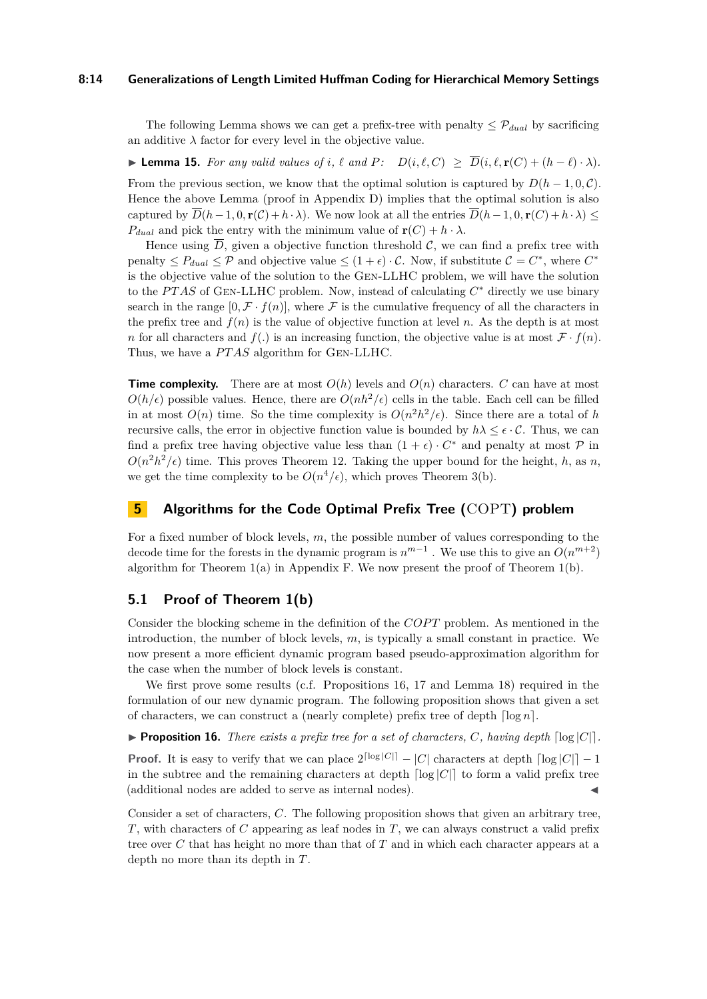#### **8:14 Generalizations of Length Limited Huffman Coding for Hierarchical Memory Settings**

The following Lemma shows we can get a prefix-tree with penalty  $\leq \mathcal{P}_{dual}$  by sacrificing an additive  $\lambda$  factor for every level in the objective value.

<span id="page-13-3"></span>▶ **Lemma 15.** For any valid values of *i*,  $\ell$  and  $P$ :  $D(i, \ell, C) \geq \overline{D}(i, \ell, r(C) + (h - \ell) \cdot \lambda)$ .

From the previous section, we know that the optimal solution is captured by  $D(h-1, 0, \mathcal{C})$ . Hence the above Lemma (proof in Appendix [D\)](#page-19-0) implies that the optimal solution is also captured by  $\overline{D}(h-1,0,\mathbf{r}(\mathcal{C})+h\cdot\lambda)$ . We now look at all the entries  $\overline{D}(h-1,0,\mathbf{r}(\mathcal{C})+h\cdot\lambda)$  $P_{dual}$  and pick the entry with the minimum value of  $\mathbf{r}(C) + h \cdot \lambda$ .

Hence using  $\overline{D}$ , given a objective function threshold C, we can find a prefix tree with penalty  $\leq P_{dual} \leq \mathcal{P}$  and objective value  $\leq (1+\epsilon) \cdot \mathcal{C}$ . Now, if substitute  $\mathcal{C} = C^*$ , where  $C^*$ is the objective value of the solution to the Gen-LLHC problem, we will have the solution to the *PTAS* of GEN-LLHC problem. Now, instead of calculating  $C^*$  directly we use binary search in the range  $[0, \mathcal{F} \cdot f(n)]$ , where  $\mathcal F$  is the cumulative frequency of all the characters in the prefix tree and  $f(n)$  is the value of objective function at level *n*. As the depth is at most *n* for all characters and  $f(.)$  is an increasing function, the objective value is at most  $\mathcal{F} \cdot f(n)$ . Thus, we have a *PTAS* algorithm for GEN-LLHC.

**Time complexity.** There are at most  $O(h)$  levels and  $O(n)$  characters. *C* can have at most  $O(h/\epsilon)$  possible values. Hence, there are  $O(nh^2/\epsilon)$  cells in the table. Each cell can be filled in at most  $O(n)$  time. So the time complexity is  $O(n^2h^2/\epsilon)$ . Since there are a total of *h* recursive calls, the error in objective function value is bounded by  $h\lambda \leq \epsilon \cdot C$ . Thus, we can find a prefix tree having objective value less than  $(1 + \epsilon) \cdot C^*$  and penalty at most  $\mathcal{P}$  in  $O(n^2h^2/\epsilon)$  time. This proves Theorem [12.](#page-10-2) Taking the upper bound for the height, *h*, as *n*, we get the time complexity to be  $O(n^4/\epsilon)$ , which proves Theorem [3\(](#page-4-1)b).

# <span id="page-13-0"></span>**5 Algorithms for the Code Optimal Prefix Tree (**COPT**) problem**

For a fixed number of block levels, *m*, the possible number of values corresponding to the decode time for the forests in the dynamic program is  $n^{m-1}$ . We use this to give an  $O(n^{m+2})$ algorithm for Theorem  $1(a)$  $1(a)$  in Appendix [F.](#page-20-0) We now present the proof of Theorem  $1(b)$ .

# **5.1 Proof of Theorem [1\(](#page-2-0)b)**

Consider the blocking scheme in the definition of the *COPT* problem. As mentioned in the introduction, the number of block levels, *m*, is typically a small constant in practice. We now present a more efficient dynamic program based pseudo-approximation algorithm for the case when the number of block levels is constant.

We first prove some results (c.f. Propositions [16,](#page-13-1) [17](#page-13-2) and Lemma [18\)](#page-14-0) required in the formulation of our new dynamic program. The following proposition shows that given a set of characters, we can construct a (nearly complete) prefix tree of depth  $\lceil \log n \rceil$ .

<span id="page-13-1"></span>**• Proposition 16.** *There exists a prefix tree for a set of characters, C, having depth*  $\lceil \log |C| \rceil$ .

**Proof.** It is easy to verify that we can place  $2^{\lceil \log |C| \rceil} - |C|$  characters at depth  $\lceil \log |C| \rceil - 1$ in the subtree and the remaining characters at depth  $\lceil \log |C| \rceil$  to form a valid prefix tree (additional nodes are added to serve as internal nodes).

<span id="page-13-2"></span>Consider a set of characters, *C*. The following proposition shows that given an arbitrary tree, *T*, with characters of *C* appearing as leaf nodes in *T*, we can always construct a valid prefix tree over *C* that has height no more than that of *T* and in which each character appears at a depth no more than its depth in *T*.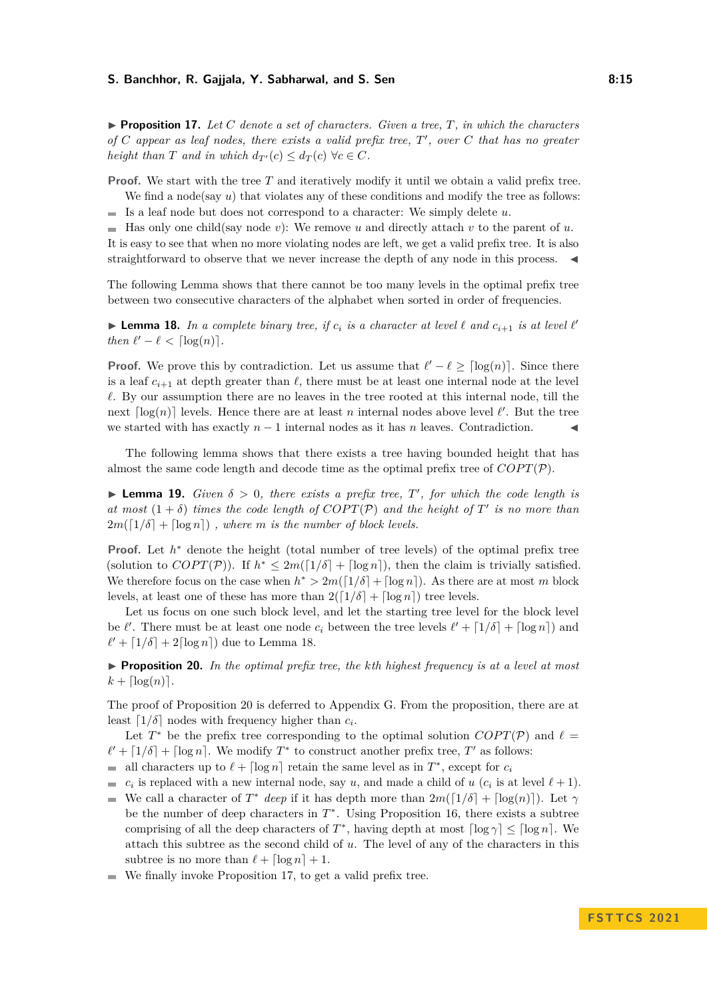#### **S. Banchhor, R. Gajjala, Y. Sabharwal, and S. Sen 6.15 1.8.15 1.8.15**

 $\triangleright$  **Proposition 17.** Let C denote a set of characters. Given a tree, T, in which the characters *of C appear as leaf nodes, there exists a valid prefix tree, T* ′ *, over C that has no greater height than T and in which*  $d_{T'}(c) \leq d_T(c) \ \forall c \in C$ *.* 

**Proof.** We start with the tree *T* and iteratively modify it until we obtain a valid prefix tree. We find a node(say *u*) that violates any of these conditions and modify the tree as follows:

Is a leaf node but does not correspond to a character: We simply delete *u*.  $\blacksquare$ 

 $\blacksquare$  Has only one child(say node *v*): We remove *u* and directly attach *v* to the parent of *u*. It is easy to see that when no more violating nodes are left, we get a valid prefix tree. It is also straightforward to observe that we never increase the depth of any node in this process.

The following Lemma shows that there cannot be too many levels in the optimal prefix tree between two consecutive characters of the alphabet when sorted in order of frequencies.

<span id="page-14-0"></span>**Example 18.** In a complete binary tree, if  $c_i$  is a character at level  $\ell$  and  $c_{i+1}$  is at level  $\ell'$ *then*  $\ell' - \ell < \lceil \log(n) \rceil$ *.* 

**Proof.** We prove this by contradiction. Let us assume that  $\ell' - \ell \geq \lceil \log(n) \rceil$ . Since there is a leaf  $c_{i+1}$  at depth greater than  $\ell$ , there must be at least one internal node at the level *ℓ*. By our assumption there are no leaves in the tree rooted at this internal node, till the next  $\lceil \log(n) \rceil$  levels. Hence there are at least *n* internal nodes above level  $\ell'$ . But the tree we started with has exactly  $n-1$  internal nodes as it has  $n$  leaves. Contradiction.  $\blacksquare$ 

The following lemma shows that there exists a tree having bounded height that has almost the same code length and decode time as the optimal prefix tree of  $COPT(\mathcal{P})$ .

**• Lemma 19.** *Given*  $\delta > 0$ *, there exists a prefix tree,*  $T'$ *, for which the code length is at most*  $(1 + \delta)$  *times the code length of COPT(P) and the height of T' is no more than*  $2m(\lceil 1/\delta \rceil + \lceil \log n \rceil)$ , where *m* is the number of block levels.

**Proof.** Let  $h^*$  denote the height (total number of tree levels) of the optimal prefix tree (solution to  $COPT(\mathcal{P})$ ). If  $h^* \leq 2m(\lceil 1/\delta \rceil + \lceil \log n \rceil)$ , then the claim is trivially satisfied. We therefore focus on the case when  $h^* > 2m(\lceil 1/\delta \rceil + \lceil \log n \rceil)$ . As there are at most *m* block levels, at least one of these has more than  $2([1/\delta] + [\log n])$  tree levels.

Let us focus on one such block level, and let the starting tree level for the block level be  $\ell'$ . There must be at least one node  $c_i$  between the tree levels  $\ell' + \lfloor 1/\delta \rfloor + \lfloor \log n \rfloor$  and  $\ell' + \lfloor 1/\delta \rfloor + 2\lceil \log n \rceil$  due to Lemma [18.](#page-14-0)

<span id="page-14-1"></span>▶ **Proposition 20.** *In the optimal prefix tree, the kth highest frequency is at a level at most*  $k + \lfloor \log(n) \rfloor$ .

The proof of Proposition [20](#page-14-1) is deferred to Appendix [G.](#page-21-0) From the proposition, there are at least  $\lceil 1/\delta \rceil$  nodes with frequency higher than  $c_i$ .

Let  $T^*$  be the prefix tree corresponding to the optimal solution  $COPT(\mathcal{P})$  and  $\ell =$  $\ell' + \lfloor 1/\delta \rfloor + \lfloor \log n \rfloor$ . We modify  $T^*$  to construct another prefix tree,  $T'$  as follows:

- all characters up to  $\ell + \lceil \log n \rceil$  retain the same level as in  $T^*$ , except for  $c_i$  $\overline{a}$
- $\blacksquare$ *c<sub>i</sub>* is replaced with a new internal node, say *u*, and made a child of *u* (*c<sub>i</sub>* is at level  $l + 1$ ).
- We call a character of  $T^*$  *deep* if it has depth more than  $2m(\lfloor 1/\delta \rfloor + \lfloor \log(n) \rfloor)$ . Let  $\gamma$  $\blacksquare$ be the number of deep characters in  $T^*$ . Using Proposition [16,](#page-13-1) there exists a subtree comprising of all the deep characters of  $T^*$ , having depth at most  $\lceil \log \gamma \rceil \leq \lceil \log n \rceil$ . We attach this subtree as the second child of *u*. The level of any of the characters in this subtree is no more than  $\ell + \lceil \log n \rceil + 1$ .
- We finally invoke Proposition [17,](#page-13-2) to get a valid prefix tree.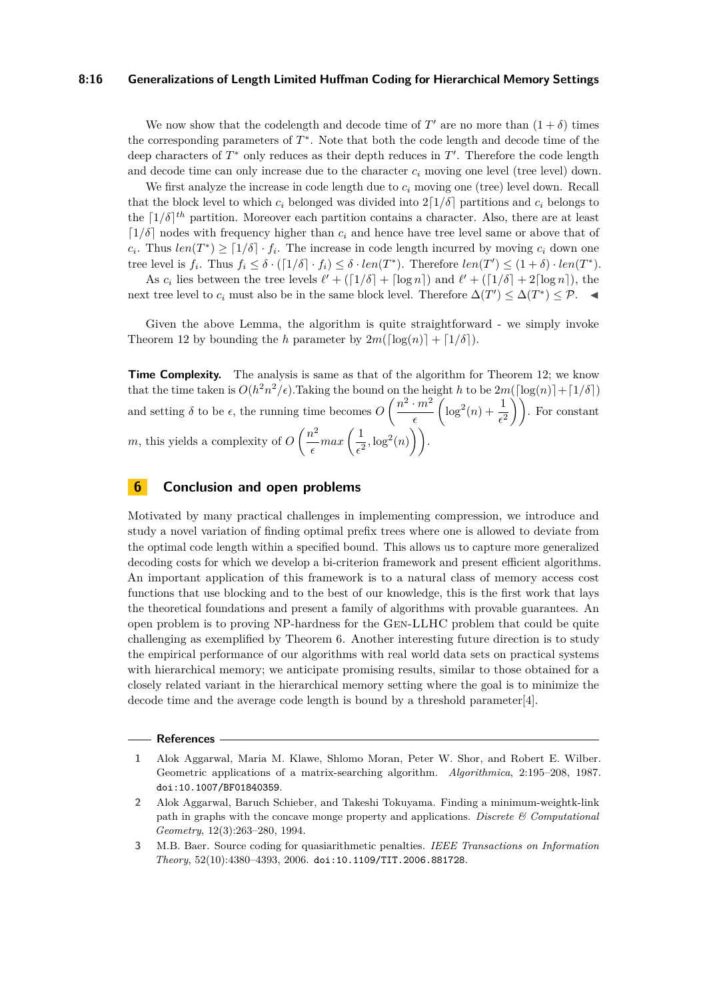#### **8:16 Generalizations of Length Limited Huffman Coding for Hierarchical Memory Settings**

We now show that the codelength and decode time of  $T'$  are no more than  $(1 + \delta)$  times the corresponding parameters of *T* ∗ . Note that both the code length and decode time of the deep characters of *T*<sup>∗</sup> only reduces as their depth reduces in *T*'. Therefore the code length and decode time can only increase due to the character *c<sup>i</sup>* moving one level (tree level) down.

We first analyze the increase in code length due to *c<sup>i</sup>* moving one (tree) level down. Recall that the block level to which  $c_i$  belonged was divided into  $2\lceil 1/\delta \rceil$  partitions and  $c_i$  belongs to the  $[1/\delta]^{th}$  partition. Moreover each partition contains a character. Also, there are at least  $\lceil 1/\delta \rceil$  nodes with frequency higher than  $c_i$  and hence have tree level same or above that of  $c_i$ . Thus  $len(T^*) \geq \lceil 1/\delta \rceil \cdot f_i$ . The increase in code length incurred by moving  $c_i$  down one tree level is  $f_i$ . Thus  $f_i \leq \delta \cdot (\lceil 1/\delta \rceil \cdot f_i) \leq \delta \cdot len(T^*)$ . Therefore  $len(T') \leq (1 + \delta) \cdot len(T^*)$ .

As  $c_i$  lies between the tree levels  $\ell' + (\lceil 1/\delta \rceil + \lceil \log n \rceil)$  and  $\ell' + (\lceil 1/\delta \rceil + 2\lceil \log n \rceil)$ , the next tree level to  $c_i$  must also be in the same block level. Therefore  $\Delta(T') \leq \Delta(T^*) \leq \mathcal{P}$ . ◀

Given the above Lemma, the algorithm is quite straightforward - we simply invoke Theorem [12](#page-10-2) by bounding the *h* parameter by  $2m(\lceil \log(n) \rceil + \lceil 1/\delta \rceil)$ .

**Time Complexity.** The analysis is same as that of the algorithm for Theorem [12;](#page-10-2) we know that the time taken is  $O(h^2 n^2/\epsilon)$ . Taking the bound on the height *h* to be  $2m(\lceil \log(n) \rceil + \lceil 1/\delta \rceil)$ and setting  $\delta$  to be  $\epsilon$ , the running time becomes  $O\left(\frac{n^2 \cdot m^2}{n}\right)$ *ϵ*  $\left(\log^2(n) + \frac{1}{\epsilon^2}\right)$ . For constant *m*, this yields a complexity of  $O\left(\frac{n^2}{n}\right)$  $\frac{n^2}{\epsilon} max \left( \frac{1}{\epsilon^2} \right)$  $\frac{1}{\epsilon^2}$ ,  $\log^2(n)$ ).

# <span id="page-15-2"></span>**6 Conclusion and open problems**

Motivated by many practical challenges in implementing compression, we introduce and study a novel variation of finding optimal prefix trees where one is allowed to deviate from the optimal code length within a specified bound. This allows us to capture more generalized decoding costs for which we develop a bi-criterion framework and present efficient algorithms. An important application of this framework is to a natural class of memory access cost functions that use blocking and to the best of our knowledge, this is the first work that lays the theoretical foundations and present a family of algorithms with provable guarantees. An open problem is to proving NP-hardness for the Gen-LLHC problem that could be quite challenging as exemplified by Theorem [6.](#page-5-0) Another interesting future direction is to study the empirical performance of our algorithms with real world data sets on practical systems with hierarchical memory; we anticipate promising results, similar to those obtained for a closely related variant in the hierarchical memory setting where the goal is to minimize the decode time and the average code length is bound by a threshold parameter[\[4\]](#page-16-20).

#### **References**

<span id="page-15-3"></span>**<sup>1</sup>** Alok Aggarwal, Maria M. Klawe, Shlomo Moran, Peter W. Shor, and Robert E. Wilber. Geometric applications of a matrix-searching algorithm. *Algorithmica*, 2:195–208, 1987. [doi:10.1007/BF01840359](https://doi.org/10.1007/BF01840359).

<span id="page-15-0"></span>**<sup>2</sup>** Alok Aggarwal, Baruch Schieber, and Takeshi Tokuyama. Finding a minimum-weightk-link path in graphs with the concave monge property and applications. *Discrete & Computational Geometry*, 12(3):263–280, 1994.

<span id="page-15-1"></span>**<sup>3</sup>** M.B. Baer. Source coding for quasiarithmetic penalties. *IEEE Transactions on Information Theory*, 52(10):4380–4393, 2006. [doi:10.1109/TIT.2006.881728](https://doi.org/10.1109/TIT.2006.881728).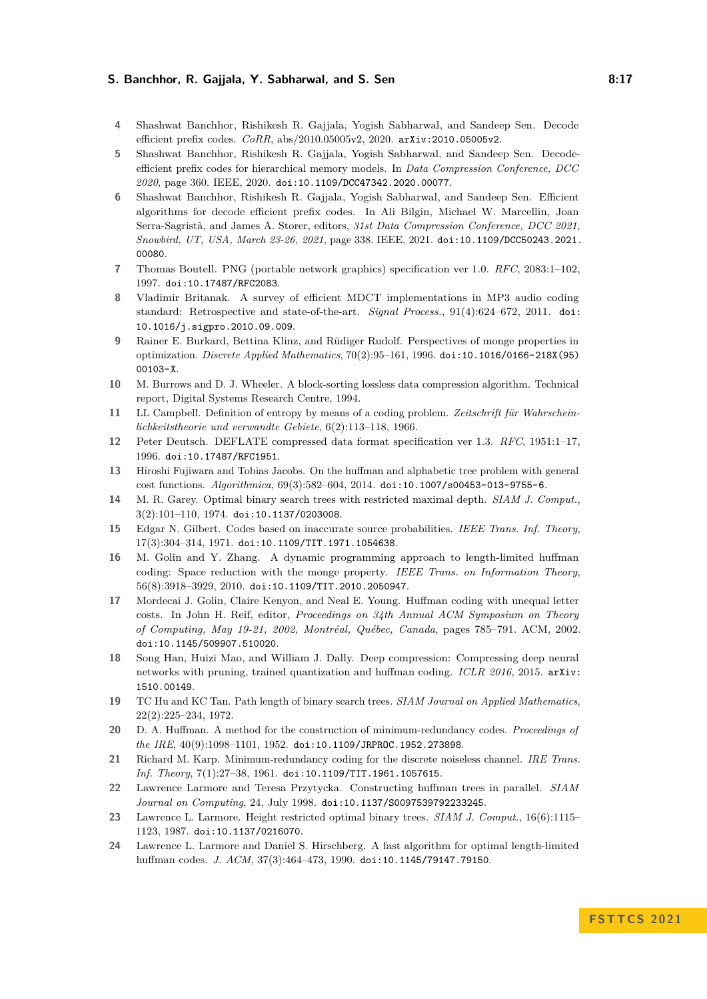#### **S. Banchhor, R. Gajjala, Y. Sabharwal, and S. Sen 6. 17 18:17 18:17**

- <span id="page-16-20"></span>**4** Shashwat Banchhor, Rishikesh R. Gajjala, Yogish Sabharwal, and Sandeep Sen. Decode efficient prefix codes. *CoRR*, abs/2010.05005v2, 2020. [arXiv:2010.05005v2](http://arxiv.org/abs/2010.05005v2).
- <span id="page-16-0"></span>**5** Shashwat Banchhor, Rishikesh R. Gajjala, Yogish Sabharwal, and Sandeep Sen. Decodeefficient prefix codes for hierarchical memory models. In *Data Compression Conference, DCC 2020*, page 360. IEEE, 2020. [doi:10.1109/DCC47342.2020.00077](https://doi.org/10.1109/DCC47342.2020.00077).
- <span id="page-16-1"></span>**6** Shashwat Banchhor, Rishikesh R. Gajjala, Yogish Sabharwal, and Sandeep Sen. Efficient algorithms for decode efficient prefix codes. In Ali Bilgin, Michael W. Marcellin, Joan Serra-Sagristà, and James A. Storer, editors, *31st Data Compression Conference, DCC 2021, Snowbird, UT, USA, March 23-26, 2021*, page 338. IEEE, 2021. [doi:10.1109/DCC50243.2021.](https://doi.org/10.1109/DCC50243.2021.00080) [00080](https://doi.org/10.1109/DCC50243.2021.00080).
- <span id="page-16-5"></span>**7** Thomas Boutell. PNG (portable network graphics) specification ver 1.0. *RFC*, 2083:1–102, 1997. [doi:10.17487/RFC2083](https://doi.org/10.17487/RFC2083).
- <span id="page-16-6"></span>**8** Vladimir Britanak. A survey of efficient MDCT implementations in MP3 audio coding standard: Retrospective and state-of-the-art. *Signal Process.*, 91(4):624–672, 2011. [doi:](https://doi.org/10.1016/j.sigpro.2010.09.009) [10.1016/j.sigpro.2010.09.009](https://doi.org/10.1016/j.sigpro.2010.09.009).
- <span id="page-16-18"></span>**9** Rainer E. Burkard, Bettina Klinz, and Rüdiger Rudolf. Perspectives of monge properties in optimization. *Discrete Applied Mathematics*, 70(2):95–161, 1996. [doi:10.1016/0166-218X\(95\)](https://doi.org/10.1016/0166-218X(95)00103-X) [00103-X](https://doi.org/10.1016/0166-218X(95)00103-X).
- <span id="page-16-4"></span>**10** M. Burrows and D. J. Wheeler. A block-sorting lossless data compression algorithm. Technical report, Digital Systems Research Centre, 1994.
- <span id="page-16-14"></span>**11** LL Campbell. Definition of entropy by means of a coding problem. *Zeitschrift für Wahrscheinlichkeitstheorie und verwandte Gebiete*, 6(2):113–118, 1966.
- <span id="page-16-3"></span>**12** Peter Deutsch. DEFLATE compressed data format specification ver 1.3. *RFC*, 1951:1–17, 1996. [doi:10.17487/RFC1951](https://doi.org/10.17487/RFC1951).
- <span id="page-16-15"></span>**13** Hiroshi Fujiwara and Tobias Jacobs. On the huffman and alphabetic tree problem with general cost functions. *Algorithmica*, 69(3):582–604, 2014. [doi:10.1007/s00453-013-9755-6](https://doi.org/10.1007/s00453-013-9755-6).
- <span id="page-16-9"></span>**14** M. R. Garey. Optimal binary search trees with restricted maximal depth. *SIAM J. Comput.*, 3(2):101–110, 1974. [doi:10.1137/0203008](https://doi.org/10.1137/0203008).
- <span id="page-16-10"></span>**15** Edgar N. Gilbert. Codes based on inaccurate source probabilities. *IEEE Trans. Inf. Theory*, 17(3):304–314, 1971. [doi:10.1109/TIT.1971.1054638](https://doi.org/10.1109/TIT.1971.1054638).
- <span id="page-16-16"></span>**16** M. Golin and Y. Zhang. A dynamic programming approach to length-limited huffman coding: Space reduction with the monge property. *IEEE Trans. on Information Theory*, 56(8):3918–3929, 2010. [doi:10.1109/TIT.2010.2050947](https://doi.org/10.1109/TIT.2010.2050947).
- <span id="page-16-19"></span>**17** Mordecai J. Golin, Claire Kenyon, and Neal E. Young. Huffman coding with unequal letter costs. In John H. Reif, editor, *Proceedings on 34th Annual ACM Symposium on Theory of Computing, May 19-21, 2002, Montréal, Québec, Canada*, pages 785–791. ACM, 2002. [doi:10.1145/509907.510020](https://doi.org/10.1145/509907.510020).
- <span id="page-16-7"></span>**18** Song Han, Huizi Mao, and William J. Dally. Deep compression: Compressing deep neural networks with pruning, trained quantization and huffman coding. *ICLR 2016*, 2015. [arXiv:](http://arxiv.org/abs/1510.00149) [1510.00149](http://arxiv.org/abs/1510.00149).
- <span id="page-16-11"></span>**19** TC Hu and KC Tan. Path length of binary search trees. *SIAM Journal on Applied Mathematics*, 22(2):225–234, 1972.
- <span id="page-16-2"></span>**20** D. A. Huffman. A method for the construction of minimum-redundancy codes. *Proceedings of the IRE*, 40(9):1098–1101, 1952. [doi:10.1109/JRPROC.1952.273898](https://doi.org/10.1109/JRPROC.1952.273898).
- <span id="page-16-8"></span>**21** Richard M. Karp. Minimum-redundancy coding for the discrete noiseless channel. *IRE Trans. Inf. Theory*, 7(1):27–38, 1961. [doi:10.1109/TIT.1961.1057615](https://doi.org/10.1109/TIT.1961.1057615).
- <span id="page-16-17"></span>**22** Lawrence Larmore and Teresa Przytycka. Constructing huffman trees in parallel. *SIAM Journal on Computing*, 24, July 1998. [doi:10.1137/S0097539792233245](https://doi.org/10.1137/S0097539792233245).
- <span id="page-16-12"></span>**23** Lawrence L. Larmore. Height restricted optimal binary trees. *SIAM J. Comput.*, 16(6):1115– 1123, 1987. [doi:10.1137/0216070](https://doi.org/10.1137/0216070).
- <span id="page-16-13"></span>**24** Lawrence L. Larmore and Daniel S. Hirschberg. A fast algorithm for optimal length-limited huffman codes. *J. ACM*, 37(3):464–473, 1990. [doi:10.1145/79147.79150](https://doi.org/10.1145/79147.79150).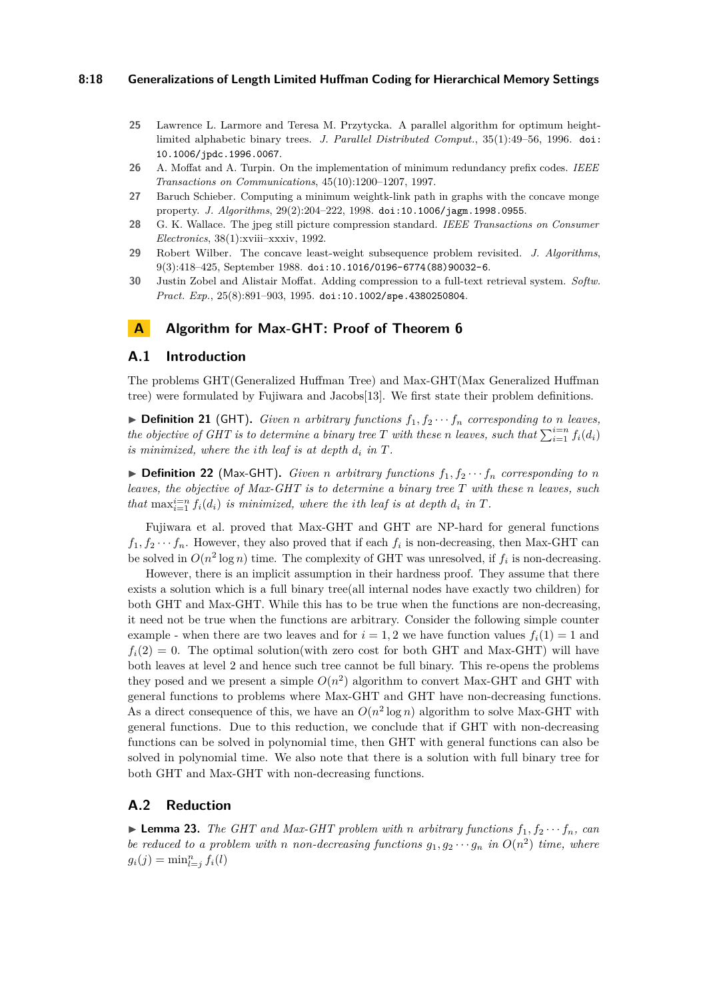#### **8:18 Generalizations of Length Limited Huffman Coding for Hierarchical Memory Settings**

- <span id="page-17-5"></span>**25** Lawrence L. Larmore and Teresa M. Przytycka. A parallel algorithm for optimum heightlimited alphabetic binary trees. *J. Parallel Distributed Comput.*, 35(1):49–56, 1996. [doi:](https://doi.org/10.1006/jpdc.1996.0067) [10.1006/jpdc.1996.0067](https://doi.org/10.1006/jpdc.1996.0067).
- <span id="page-17-1"></span>**26** A. Moffat and A. Turpin. On the implementation of minimum redundancy prefix codes. *IEEE Transactions on Communications*, 45(10):1200–1207, 1997.
- <span id="page-17-3"></span>**27** Baruch Schieber. Computing a minimum weightk-link path in graphs with the concave monge property. *J. Algorithms*, 29(2):204–222, 1998. [doi:10.1006/jagm.1998.0955](https://doi.org/10.1006/jagm.1998.0955).
- <span id="page-17-0"></span>**28** G. K. Wallace. The jpeg still picture compression standard. *IEEE Transactions on Consumer Electronics*, 38(1):xviii–xxxiv, 1992.
- <span id="page-17-6"></span>**29** Robert Wilber. The concave least-weight subsequence problem revisited. *J. Algorithms*, 9(3):418–425, September 1988. [doi:10.1016/0196-6774\(88\)90032-6](https://doi.org/10.1016/0196-6774(88)90032-6).
- <span id="page-17-2"></span>**30** Justin Zobel and Alistair Moffat. Adding compression to a full-text retrieval system. *Softw. Pract. Exp.*, 25(8):891–903, 1995. [doi:10.1002/spe.4380250804](https://doi.org/10.1002/spe.4380250804).

# <span id="page-17-4"></span>**A Algorithm for Max-GHT: Proof of Theorem [6](#page-5-0)**

## **A.1 Introduction**

The problems GHT(Generalized Huffman Tree) and Max-GHT(Max Generalized Huffman tree) were formulated by Fujiwara and Jacobs[\[13\]](#page-16-15). We first state their problem definitions.

 $\triangleright$  **Definition 21** (GHT). *Given n* arbitrary functions  $f_1, f_2 \cdots f_n$  corresponding to *n* leaves, *the objective of GHT is to determine a binary tree T with these <i>n leaves*, such that  $\sum_{i=1}^{i=n} f_i(d_i)$ *is minimized, where the <i>i*th leaf *is at depth*  $d_i$  *in*  $T$ *.* 

 $\triangleright$  **Definition 22** (Max-GHT). *Given n arbitrary functions*  $f_1, f_2 \cdots f_n$  *corresponding to n leaves, the objective of Max-GHT is to determine a binary tree T with these n leaves, such that*  $\max_{i=1}^{i=n} f_i(d_i)$  *is minimized, where the <i>i*th leaf *is at depth*  $d_i$  *in*  $T$ *.* 

Fujiwara et al. proved that Max-GHT and GHT are NP-hard for general functions  $f_1, f_2 \cdots f_n$ . However, they also proved that if each  $f_i$  is non-decreasing, then Max-GHT can be solved in  $O(n^2 \log n)$  time. The complexity of GHT was unresolved, if  $f_i$  is non-decreasing.

However, there is an implicit assumption in their hardness proof. They assume that there exists a solution which is a full binary tree(all internal nodes have exactly two children) for both GHT and Max-GHT. While this has to be true when the functions are non-decreasing, it need not be true when the functions are arbitrary. Consider the following simple counter example - when there are two leaves and for  $i = 1, 2$  we have function values  $f_i(1) = 1$  and  $f_i(2) = 0$ . The optimal solution(with zero cost for both GHT and Max-GHT) will have both leaves at level 2 and hence such tree cannot be full binary. This re-opens the problems they posed and we present a simple  $O(n^2)$  algorithm to convert Max-GHT and GHT with general functions to problems where Max-GHT and GHT have non-decreasing functions. As a direct consequence of this, we have an  $O(n^2 \log n)$  algorithm to solve Max-GHT with general functions. Due to this reduction, we conclude that if GHT with non-decreasing functions can be solved in polynomial time, then GHT with general functions can also be solved in polynomial time. We also note that there is a solution with full binary tree for both GHT and Max-GHT with non-decreasing functions.

## **A.2 Reduction**

 $\blacktriangleright$  **Lemma 23.** The GHT and Max-GHT problem with *n* arbitrary functions  $f_1, f_2 \cdots f_n$ , can *be reduced to a problem with n non-decreasing functions*  $g_1, g_2 \cdots g_n$  *in*  $O(n^2)$  *time, where*  $g_i(j) = \min_{l=j}^n f_i(l)$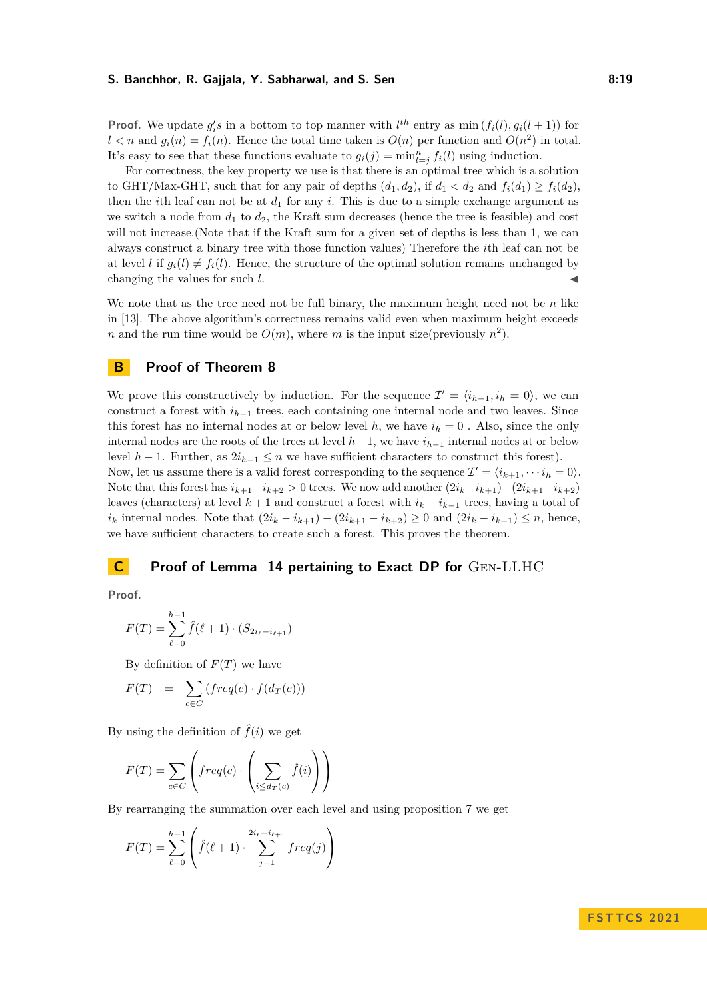#### **S. Banchhor, R. Gajjala, Y. Sabharwal, and S. Sen 8:19 1988. 8:19**

**Proof.** We update  $g_i$ 's in a bottom to top manner with  $l^{th}$  entry as min  $(f_i(l), g_i(l+1))$  for  $l < n$  and  $g_i(n) = f_i(n)$ . Hence the total time taken is  $O(n)$  per function and  $O(n^2)$  in total. It's easy to see that these functions evaluate to  $g_i(j) = \min_{l=j}^n f_i(l)$  using induction.

For correctness, the key property we use is that there is an optimal tree which is a solution to GHT/Max-GHT, such that for any pair of depths  $(d_1, d_2)$ , if  $d_1 < d_2$  and  $f_i(d_1) \ge f_i(d_2)$ , then the *i*th leaf can not be at  $d_1$  for any *i*. This is due to a simple exchange argument as we switch a node from  $d_1$  to  $d_2$ , the Kraft sum decreases (hence the tree is feasible) and cost will not increase.(Note that if the Kraft sum for a given set of depths is less than 1, we can always construct a binary tree with those function values) Therefore the *i*th leaf can not be at level *l* if  $g_i(l) \neq f_i(l)$ . Hence, the structure of the optimal solution remains unchanged by changing the values for such  $l$ .

We note that as the tree need not be full binary, the maximum height need not be *n* like in [\[13\]](#page-16-15). The above algorithm's correctness remains valid even when maximum height exceeds *n* and the run time would be  $O(m)$ , where *m* is the input size(previously  $n^2$ ).

# <span id="page-18-0"></span>**B Proof of Theorem [8](#page-6-2)**

We prove this constructively by induction. For the sequence  $\mathcal{I}' = \langle i_{h-1}, i_h = 0 \rangle$ , we can construct a forest with *ih*−<sup>1</sup> trees, each containing one internal node and two leaves. Since this forest has no internal nodes at or below level  $h$ , we have  $i_h = 0$ . Also, since the only internal nodes are the roots of the trees at level *h*−1, we have *ih*−<sup>1</sup> internal nodes at or below level *h* − 1. Further, as  $2i_{h-1} \leq n$  we have sufficient characters to construct this forest). Now, let us assume there is a valid forest corresponding to the sequence  $\mathcal{I}' = \langle i_{k+1}, \cdots i_h = 0 \rangle$ . Note that this forest has  $i_{k+1}-i_{k+2} > 0$  trees. We now add another  $(2i_k-i_{k+1})-(2i_{k+1}-i_{k+2})$ leaves (characters) at level  $k + 1$  and construct a forest with  $i_k - i_{k-1}$  trees, having a total of *i*<sup>*k*</sup> internal nodes. Note that  $(2i_k - i_{k+1}) - (2i_{k+1} - i_{k+2}) \ge 0$  and  $(2i_k - i_{k+1}) \le n$ , hence, we have sufficient characters to create such a forest. This proves the theorem.

# <span id="page-18-1"></span>**C Proof of Lemma [14](#page-11-0) pertaining to Exact DP for** Gen-LLHC

**Proof.**

$$
F(T) = \sum_{\ell=0}^{h-1} \hat{f}(\ell+1) \cdot (S_{2i_{\ell}-i_{\ell+1}})
$$

By definition of *F*(*T*) we have

$$
F(T) = \sum_{c \in C} (freq(c) \cdot f(d_T(c)))
$$

By using the definition of  $\hat{f}(i)$  we get

$$
F(T) = \sum_{c \in C} \left( freq(c) \cdot \left( \sum_{i \leq d_T(c)} \hat{f}(i) \right) \right)
$$

By rearranging the summation over each level and using proposition [7](#page-6-3) we get

$$
F(T) = \sum_{\ell=0}^{h-1} \left( \hat{f}(\ell+1) \cdot \sum_{j=1}^{2i_{\ell} - i_{\ell+1}} freq(j) \right)
$$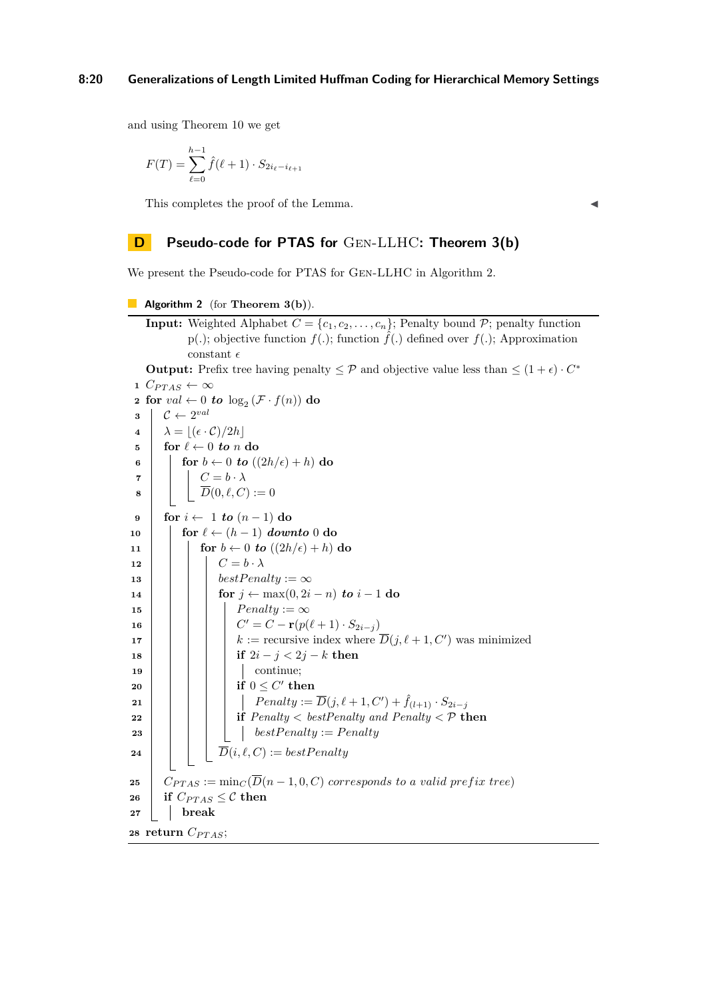#### **8:20 Generalizations of Length Limited Huffman Coding for Hierarchical Memory Settings**

and using Theorem [10](#page-7-1) we get

$$
F(T) = \sum_{\ell=0}^{h-1} \hat{f}(\ell+1) \cdot S_{2i_{\ell}-i_{\ell+1}}
$$

This completes the proof of the Lemma.

# <span id="page-19-0"></span>**D Pseudo-code for PTAS for** Gen-LLHC**: Theorem [3\(](#page-4-1)b)**

We present the Pseudo-code for PTAS for Gen-LLHC in Algorithm [2.](#page-19-1)

```
Algorithm 2 (for Theorem 3(b)).
```

```
Input: Weighted Alphabet C = \{c_1, c_2, \ldots, c_n\}; Penalty bound P; penalty function
                p(.); objective function f(.); function \hat{f}(.) defined over f(.); Approximation
                constant \epsilonOutput: Prefix tree having penalty \leq \mathcal{P} and objective value less than \leq (1+\epsilon) \cdot C^*1 C_{PTAS} ← ∞
  2 for val \leftarrow 0 to \log_2 (\mathcal{F} \cdot f(n)) do
  \mathbf{3} \mid \mathcal{C} \leftarrow 2^{val}4 \lambda = |(\epsilon \cdot \mathcal{C})/2h|\mathbf{5} for \ell \leftarrow 0 to n do
 6 for b \leftarrow 0 to ((2h/\epsilon) + h) do
  7 \begin{array}{|c|c|c|c|c|} \hline \end{array} \begin{array}{|c|c|c|c|c|} \hline \end{array} C = b \cdot \lambda8 \overline{D}(0,\ell, C) := 09 for i \leftarrow 1 to (n-1) do
\mathbf{10} for \ell \leftarrow (h-1) downto 0 do
11 for b \leftarrow 0 to ((2h/\epsilon) + h) do
12 Fig. C = b \cdot \lambda13 best \text{P} best \text{P} enalty := \infty14 for j \leftarrow max(0, 2i - n) to i - 1 do
15 \vert \vert \vert \vert Penalty := \infty16 C
                               C' = C - \mathbf{r}(p(\ell+1) \cdot S_{2i-j})17 \begin{array}{|c|c|c|c|c|} \hline \end{array} k := recursive index where \overline{D}(j,\ell+1,C') was minimized
18 i if 2i - j < 2j - k then
19 | | | | | continue;
 \begin{array}{|c|c|c|c|c|}\n\hline\n\text{20} & \text{if} & \text{if} & \text{if} & \text{if} & \text{if} & \text{if} & \text{if} & \text{if} & \text{if} & \text{if} & \text{if} & \text{if} & \text{if} & \text{if} & \text{if} & \text{if} & \text{if} & \text{if} & \text{if} & \text{if} & \text{if} & \text{if} & \text{if} & \text{if} & \text{if} & \text{if} & \text{if} & \text{if} & \text{if} & \text{if} & \text{if} & \text{if}21 P P enalty := \overline{D}(j, l + 1, C') + \hat{f}_{(l+1)} \cdot S_{2i-j}22 i if Penalty < bestPenalty and Penalty < P then
23 best \text{P} best \text{P} enalty := \text{P} enalty
24 D(i, \ell, C) := bestPenalty25 C<sub>PTAS</sub> := min<sub>C</sub>(\overline{D}(n-1,0,C) corresponds to a valid prefix tree)
26 if C_{PTAS} \leq C then
27 break
28 return C_{PTAS};
```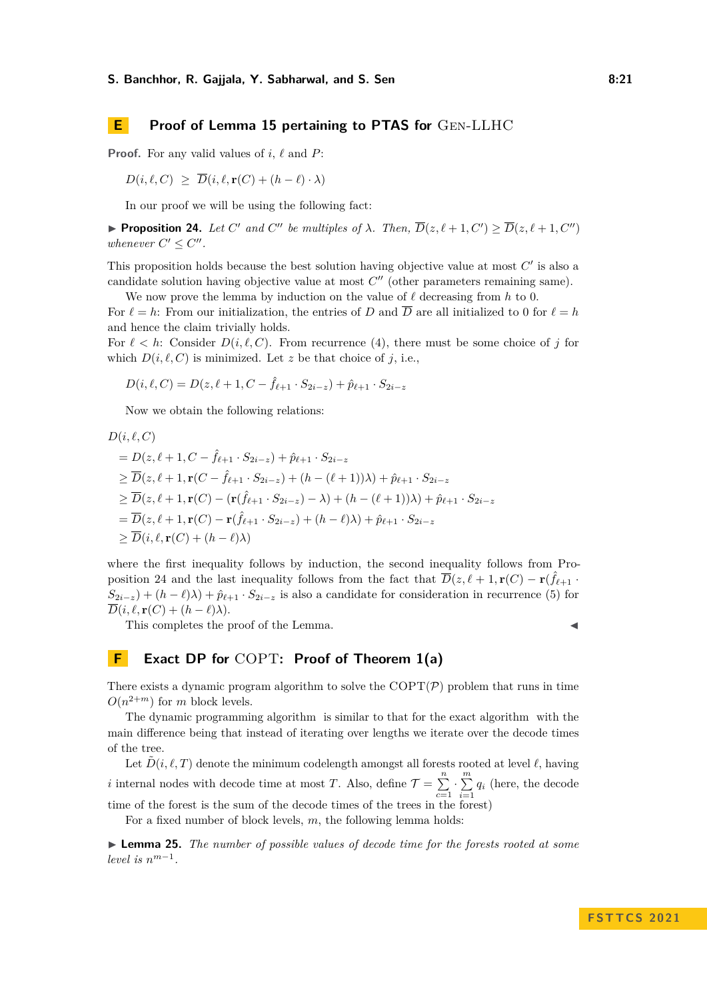# **E Proof of Lemma [15](#page-13-3) pertaining to PTAS for** Gen-LLHC

**Proof.** For any valid values of *i*, *ℓ* and *P*:

$$
D(i, \ell, C) \geq \overline{D}(i, \ell, \mathbf{r}(C) + (h - \ell) \cdot \lambda)
$$

In our proof we will be using the following fact:

<span id="page-20-1"></span>**• Proposition 24.** Let C' and C'' be multiples of  $\lambda$ . Then,  $\overline{D}(z,\ell+1,C') \geq \overline{D}(z,\ell+1,C'')$ *whenever*  $C' \leq C''$ *.* 

This proposition holds because the best solution having objective value at most  $C'$  is also a candidate solution having objective value at most  $C''$  (other parameters remaining same).

We now prove the lemma by induction on the value of *ℓ* decreasing from *h* to 0.

For  $\ell = h$ : From our initialization, the entries of *D* and  $\overline{D}$  are all initialized to 0 for  $\ell = h$ and hence the claim trivially holds.

For  $\ell < h$ : Consider  $D(i, \ell, C)$ . From recurrence [\(4\)](#page-12-0), there must be some choice of *j* for which  $D(i, \ell, C)$  is minimized. Let *z* be that choice of *j*, i.e.,

$$
D(i, \ell, C) = D(z, \ell + 1, C - \hat{f}_{\ell+1} \cdot S_{2i-z}) + \hat{p}_{\ell+1} \cdot S_{2i-z}
$$

Now we obtain the following relations:

$$
D(i, \ell, C)
$$
  
=  $D(z, \ell + 1, C - \hat{f}_{\ell+1} \cdot S_{2i-z}) + \hat{p}_{\ell+1} \cdot S_{2i-z}$   

$$
\geq \overline{D}(z, \ell + 1, \mathbf{r}(C - \hat{f}_{\ell+1} \cdot S_{2i-z}) + (h - (\ell + 1))\lambda) + \hat{p}_{\ell+1} \cdot S_{2i-z}
$$
  

$$
\geq \overline{D}(z, \ell + 1, \mathbf{r}(C) - (\mathbf{r}(\hat{f}_{\ell+1} \cdot S_{2i-z}) - \lambda) + (h - (\ell + 1))\lambda) + \hat{p}_{\ell+1} \cdot S_{2i-z}
$$
  

$$
= \overline{D}(z, \ell + 1, \mathbf{r}(C) - \mathbf{r}(\hat{f}_{\ell+1} \cdot S_{2i-z}) + (h - \ell)\lambda) + \hat{p}_{\ell+1} \cdot S_{2i-z}
$$
  

$$
\geq \overline{D}(i, \ell, \mathbf{r}(C) + (h - \ell)\lambda)
$$

where the first inequality follows by induction, the second inequality follows from Pro-position [24](#page-20-1) and the last inequality follows from the fact that  $\overline{D}(z, \ell + 1, \mathbf{r}(C) - \mathbf{r}(\hat{f}_{\ell+1}$ .  $S_{2i-z}$ ) +  $(h - \ell)\lambda$ ) +  $\hat{p}_{\ell+1} \cdot S_{2i-z}$  is also a candidate for consideration in recurrence [\(5\)](#page-12-1) for  $\overline{D}(i, \ell, \mathbf{r}(C) + (h - \ell)\lambda).$ 

This completes the proof of the Lemma.

$$
\blacksquare
$$

## <span id="page-20-0"></span>**F Exact DP for** COPT**: Proof of Theorem [1\(](#page-2-0)a)**

There exists a dynamic program algorithm to solve the  $\text{COPT}(\mathcal{P})$  problem that runs in time  $O(n^{2+m})$  for *m* block levels.

The dynamic programming algorithm is similar to that for the exact algorithm with the main difference being that instead of iterating over lengths we iterate over the decode times of the tree.

Let  $\hat{D}(i, \ell, T)$  denote the minimum codelength amongst all forests rooted at level  $\ell$ , having *i* internal nodes with decode time at most *T*. Also, define  $\mathcal{T} = \sum_{n=1}^{n}$ *c*=1  $\cdot \sum_{n=1}^{m}$  $\sum_{i=1}^{n} q_i$  (here, the decode

time of the forest is the sum of the decode times of the trees in the forest)

For a fixed number of block levels, *m*, the following lemma holds:

<span id="page-20-2"></span>▶ **Lemma 25.** *The number of possible values of decode time for the forests rooted at some level is*  $n^{m-1}$ *.*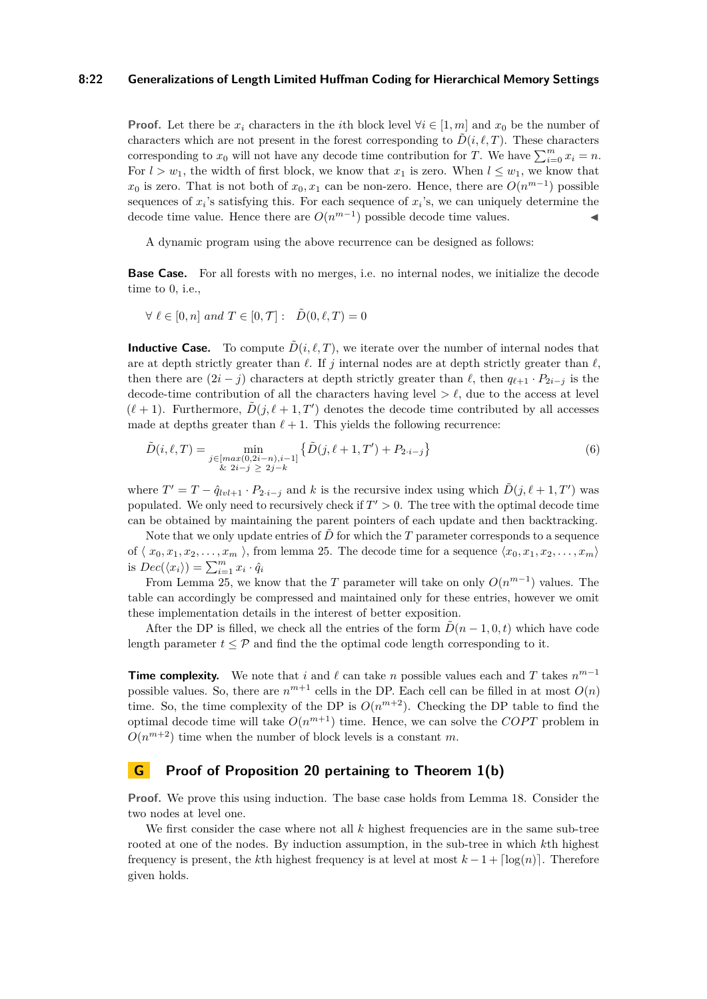#### **8:22 Generalizations of Length Limited Huffman Coding for Hierarchical Memory Settings**

**Proof.** Let there be  $x_i$  characters in the *i*th block level  $\forall i \in [1, m]$  and  $x_0$  be the number of characters which are not present in the forest corresponding to  $\tilde{D}(i, \ell, T)$ . These characters corresponding to  $x_0$  will not have any decode time contribution for *T*. We have  $\sum_{i=0}^{m} x_i = n$ . For  $l > w_1$ , the width of first block, we know that  $x_1$  is zero. When  $l \leq w_1$ , we know that *x*<sub>0</sub> is zero. That is not both of *x*<sub>0</sub>, *x*<sub>1</sub> can be non-zero. Hence, there are  $O(n^{m-1})$  possible sequences of  $x_i$ 's satisfying this. For each sequence of  $x_i$ 's, we can uniquely determine the decode time value. Hence there are  $O(n^{m-1})$  possible decode time values.

A dynamic program using the above recurrence can be designed as follows:

**Base Case.** For all forests with no merges, i.e. no internal nodes, we initialize the decode time to 0, i.e.,

$$
\forall \ell \in [0, n] \text{ and } T \in [0, \mathcal{T}]: \tilde{D}(0, \ell, T) = 0
$$

**Inductive Case.** To compute  $\tilde{D}(i, \ell, T)$ , we iterate over the number of internal nodes that are at depth strictly greater than  $\ell$ . If *j* internal nodes are at depth strictly greater than  $\ell$ , then there are  $(2i - j)$  characters at depth strictly greater than  $\ell$ , then  $q_{\ell+1} \cdot P_{2i-j}$  is the decode-time contribution of all the characters having level  $\geq \ell$ , due to the access at level  $(\ell+1)$ . Furthermore,  $\tilde{D}(j, \ell+1, T')$  denotes the decode time contributed by all accesses made at depths greater than  $\ell + 1$ . This yields the following recurrence:

$$
\tilde{D}(i,\ell,T) = \min_{\substack{j \in [max(0,2i-n), i-1] \\ \& 2i - j \ge 2j - k}} \left\{ \tilde{D}(j,\ell+1,T') + P_{2\cdot i - j} \right\} \tag{6}
$$

where  $T' = T - \hat{q}_{lvl+1} \cdot P_{2\cdot i-j}$  and *k* is the recursive index using which  $\tilde{D}(j, \ell+1, T')$  was populated. We only need to recursively check if  $T' > 0$ . The tree with the optimal decode time can be obtained by maintaining the parent pointers of each update and then backtracking.

Note that we only update entries of  $\ddot{D}$  for which the  $T$  parameter corresponds to a sequence of  $\langle x_0, x_1, x_2, \ldots, x_m \rangle$ , from lemma [25.](#page-20-2) The decode time for a sequence  $\langle x_0, x_1, x_2, \ldots, x_m \rangle$ is  $Dec(\langle x_i \rangle) = \sum_{i=1}^{m} x_i \cdot \hat{q}_i$ 

From Lemma [25,](#page-20-2) we know that the *T* parameter will take on only  $O(n^{m-1})$  values. The table can accordingly be compressed and maintained only for these entries, however we omit these implementation details in the interest of better exposition.

After the DP is filled, we check all the entries of the form  $\ddot{D}(n-1,0,t)$  which have code length parameter  $t \leq \mathcal{P}$  and find the the optimal code length corresponding to it.

**Time complexity.** We note that *i* and  $\ell$  can take *n* possible values each and *T* takes  $n^{m-1}$ possible values. So, there are  $n^{m+1}$  cells in the DP. Each cell can be filled in at most  $O(n)$ time. So, the time complexity of the DP is  $O(n^{m+2})$ . Checking the DP table to find the optimal decode time will take  $O(n^{m+1})$  time. Hence, we can solve the  $COPT$  problem in  $O(n^{m+2})$  time when the number of block levels is a constant *m*.

## <span id="page-21-0"></span>**G Proof of Proposition [20](#page-14-1) pertaining to Theorem [1\(](#page-2-0)b)**

**Proof.** We prove this using induction. The base case holds from Lemma [18.](#page-14-0) Consider the two nodes at level one.

We first consider the case where not all k highest frequencies are in the same sub-tree rooted at one of the nodes. By induction assumption, in the sub-tree in which *k*th highest frequency is present, the *k*th highest frequency is at level at most  $k-1 + \lceil \log(n) \rceil$ . Therefore given holds.